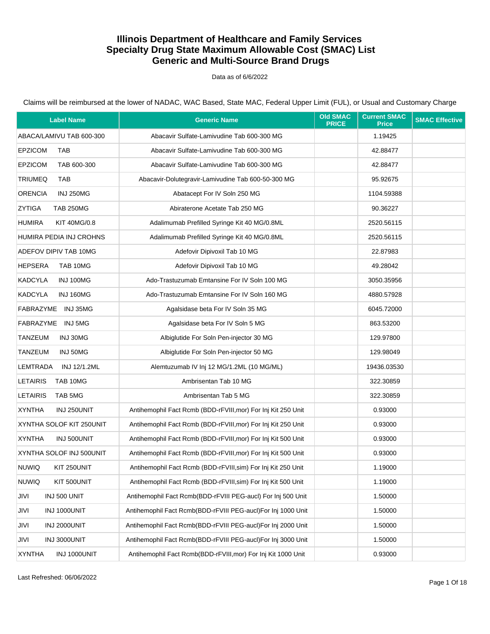### Data as of 6/6/2022

| <b>Label Name</b>                    | <b>Generic Name</b>                                           | <b>Old SMAC</b><br><b>PRICE</b> | <b>Current SMAC</b><br><b>Price</b> | <b>SMAC Effective</b> |
|--------------------------------------|---------------------------------------------------------------|---------------------------------|-------------------------------------|-----------------------|
| ABACA/LAMIVU TAB 600-300             | Abacavir Sulfate-Lamivudine Tab 600-300 MG                    |                                 | 1.19425                             |                       |
| <b>EPZICOM</b><br><b>TAB</b>         | Abacavir Sulfate-Lamivudine Tab 600-300 MG                    |                                 | 42.88477                            |                       |
| <b>EPZICOM</b><br>TAB 600-300        | Abacavir Sulfate-Lamivudine Tab 600-300 MG                    |                                 | 42.88477                            |                       |
| <b>TRIUMEQ</b><br><b>TAB</b>         | Abacavir-Dolutegravir-Lamivudine Tab 600-50-300 MG            |                                 | 95.92675                            |                       |
| <b>ORENCIA</b><br><b>INJ 250MG</b>   | Abatacept For IV Soln 250 MG                                  |                                 | 1104.59388                          |                       |
| ZYTIGA<br><b>TAB 250MG</b>           | Abiraterone Acetate Tab 250 MG                                |                                 | 90.36227                            |                       |
| <b>HUMIRA</b><br><b>KIT 40MG/0.8</b> | Adalimumab Prefilled Syringe Kit 40 MG/0.8ML                  |                                 | 2520.56115                          |                       |
| HUMIRA PEDIA INJ CROHNS              | Adalimumab Prefilled Syringe Kit 40 MG/0.8ML                  |                                 | 2520.56115                          |                       |
| ADEFOV DIPIV TAB 10MG                | Adefovir Dipivoxil Tab 10 MG                                  |                                 | 22.87983                            |                       |
| <b>HEPSERA</b><br>TAB 10MG           | Adefovir Dipivoxil Tab 10 MG                                  |                                 | 49.28042                            |                       |
| KADCYLA<br>INJ 100MG                 | Ado-Trastuzumab Emtansine For IV Soln 100 MG                  |                                 | 3050.35956                          |                       |
| KADCYLA<br>INJ 160MG                 | Ado-Trastuzumab Emtansine For IV Soln 160 MG                  |                                 | 4880.57928                          |                       |
| FABRAZYME INJ 35MG                   | Agalsidase beta For IV Soln 35 MG                             |                                 | 6045.72000                          |                       |
| FABRAZYME INJ 5MG                    | Agalsidase beta For IV Soln 5 MG                              |                                 | 863.53200                           |                       |
| TANZEUM<br>INJ 30MG                  | Albiglutide For Soln Pen-injector 30 MG                       |                                 | 129.97800                           |                       |
| TANZEUM<br>INJ 50MG                  | Albiglutide For Soln Pen-injector 50 MG                       |                                 | 129.98049                           |                       |
| LEMTRADA<br>INJ 12/1.2ML             | Alemtuzumab IV Inj 12 MG/1.2ML (10 MG/ML)                     |                                 | 19436.03530                         |                       |
| <b>LETAIRIS</b><br>TAB 10MG          | Ambrisentan Tab 10 MG                                         |                                 | 322.30859                           |                       |
| <b>LETAIRIS</b><br>TAB 5MG           | Ambrisentan Tab 5 MG                                          |                                 | 322.30859                           |                       |
| <b>XYNTHA</b><br>INJ 250UNIT         | Antihemophil Fact Rcmb (BDD-rFVIII, mor) For Inj Kit 250 Unit |                                 | 0.93000                             |                       |
| XYNTHA SOLOF KIT 250UNIT             | Antihemophil Fact Rcmb (BDD-rFVIII, mor) For Inj Kit 250 Unit |                                 | 0.93000                             |                       |
| <b>XYNTHA</b><br>INJ 500UNIT         | Antihemophil Fact Rcmb (BDD-rFVIII, mor) For Inj Kit 500 Unit |                                 | 0.93000                             |                       |
| XYNTHA SOLOF INJ 500UNIT             | Antihemophil Fact Rcmb (BDD-rFVIII, mor) For Inj Kit 500 Unit |                                 | 0.93000                             |                       |
| <b>NUWIQ</b><br>KIT 250UNIT          | Antihemophil Fact Rcmb (BDD-rFVIII, sim) For Inj Kit 250 Unit |                                 | 1.19000                             |                       |
| <b>NUWIQ</b><br>KIT 500UNIT          | Antihemophil Fact Rcmb (BDD-rFVIII, sim) For Inj Kit 500 Unit |                                 | 1.19000                             |                       |
| JIVI<br>INJ 500 UNIT                 | Antihemophil Fact Rcmb(BDD-rFVIII PEG-aucl) For Inj 500 Unit  |                                 | 1.50000                             |                       |
| JIVI<br>INJ 1000UNIT                 | Antihemophil Fact Rcmb(BDD-rFVIII PEG-aucl)For Inj 1000 Unit  |                                 | 1.50000                             |                       |
| INJ 2000UNIT<br>JIVI                 | Antihemophil Fact Rcmb(BDD-rFVIII PEG-aucl)For Inj 2000 Unit  |                                 | 1.50000                             |                       |
| JIVI<br>INJ 3000UNIT                 | Antihemophil Fact Rcmb(BDD-rFVIII PEG-aucl)For Inj 3000 Unit  |                                 | 1.50000                             |                       |
| <b>XYNTHA</b><br>INJ 1000UNIT        | Antihemophil Fact Rcmb(BDD-rFVIII, mor) For Inj Kit 1000 Unit |                                 | 0.93000                             |                       |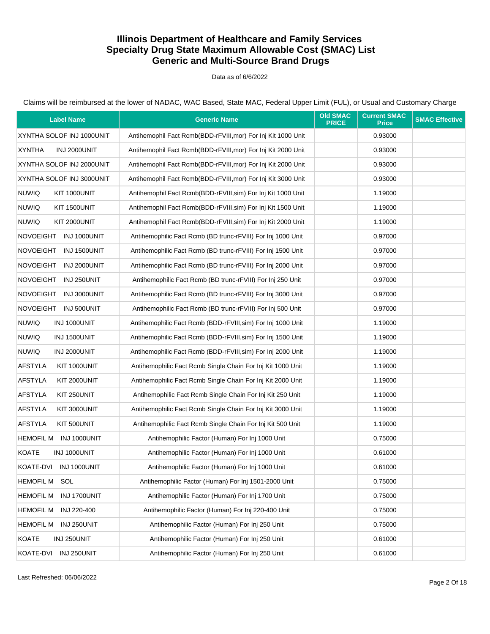#### Data as of 6/6/2022

| <b>Label Name</b>                | <b>Generic Name</b>                                           | <b>Old SMAC</b><br><b>PRICE</b> | <b>Current SMAC</b><br><b>Price</b> | <b>SMAC Effective</b> |
|----------------------------------|---------------------------------------------------------------|---------------------------------|-------------------------------------|-----------------------|
| XYNTHA SOLOF INJ 1000UNIT        | Antihemophil Fact Rcmb(BDD-rFVIII, mor) For Inj Kit 1000 Unit |                                 | 0.93000                             |                       |
| <b>XYNTHA</b><br>INJ 2000UNIT    | Antihemophil Fact Rcmb(BDD-rFVIII, mor) For Inj Kit 2000 Unit |                                 | 0.93000                             |                       |
| XYNTHA SOLOF INJ 2000UNIT        | Antihemophil Fact Rcmb(BDD-rFVIII,mor) For Inj Kit 2000 Unit  |                                 | 0.93000                             |                       |
| XYNTHA SOLOF INJ 3000UNIT        | Antihemophil Fact Rcmb(BDD-rFVIII, mor) For Inj Kit 3000 Unit |                                 | 0.93000                             |                       |
| <b>NUWIQ</b><br>KIT 1000UNIT     | Antihemophil Fact Rcmb(BDD-rFVIII, sim) For Inj Kit 1000 Unit |                                 | 1.19000                             |                       |
| <b>NUWIQ</b><br>KIT 1500UNIT     | Antihemophil Fact Rcmb(BDD-rFVIII, sim) For Inj Kit 1500 Unit |                                 | 1.19000                             |                       |
| <b>NUWIQ</b><br>KIT 2000UNIT     | Antihemophil Fact Rcmb(BDD-rFVIII, sim) For Inj Kit 2000 Unit |                                 | 1.19000                             |                       |
| NOVOEIGHT INJ 1000UNIT           | Antihemophilic Fact Rcmb (BD trunc-rFVIII) For Inj 1000 Unit  |                                 | 0.97000                             |                       |
| NOVOEIGHT INJ 1500UNIT           | Antihemophilic Fact Rcmb (BD trunc-rFVIII) For Inj 1500 Unit  |                                 | 0.97000                             |                       |
| <b>NOVOEIGHT</b><br>INJ 2000UNIT | Antihemophilic Fact Rcmb (BD trunc-rFVIII) For Inj 2000 Unit  |                                 | 0.97000                             |                       |
| NOVOEIGHT INJ 250UNIT            | Antihemophilic Fact Rcmb (BD trunc-rFVIII) For Inj 250 Unit   |                                 | 0.97000                             |                       |
| <b>NOVOEIGHT</b><br>INJ 3000UNIT | Antihemophilic Fact Rcmb (BD trunc-rFVIII) For Inj 3000 Unit  |                                 | 0.97000                             |                       |
| NOVOEIGHT INJ 500UNIT            | Antihemophilic Fact Rcmb (BD trunc-rFVIII) For Inj 500 Unit   |                                 | 0.97000                             |                       |
| <b>NUWIQ</b><br>INJ 1000UNIT     | Antihemophilic Fact Rcmb (BDD-rFVIII, sim) For Inj 1000 Unit  |                                 | 1.19000                             |                       |
| <b>NUWIQ</b><br>INJ 1500UNIT     | Antihemophilic Fact Rcmb (BDD-rFVIII, sim) For Inj 1500 Unit  |                                 | 1.19000                             |                       |
| <b>NUWIQ</b><br>INJ 2000UNIT     | Antihemophilic Fact Rcmb (BDD-rFVIII, sim) For Inj 2000 Unit  |                                 | 1.19000                             |                       |
| <b>AFSTYLA</b><br>KIT 1000UNIT   | Antihemophilic Fact Rcmb Single Chain For Inj Kit 1000 Unit   |                                 | 1.19000                             |                       |
| <b>AFSTYLA</b><br>KIT 2000UNIT   | Antihemophilic Fact Rcmb Single Chain For Inj Kit 2000 Unit   |                                 | 1.19000                             |                       |
| <b>AFSTYLA</b><br>KIT 250UNIT    | Antihemophilic Fact Rcmb Single Chain For Inj Kit 250 Unit    |                                 | 1.19000                             |                       |
| <b>AFSTYLA</b><br>KIT 3000UNIT   | Antihemophilic Fact Rcmb Single Chain For Inj Kit 3000 Unit   |                                 | 1.19000                             |                       |
| <b>AFSTYLA</b><br>KIT 500UNIT    | Antihemophilic Fact Rcmb Single Chain For Inj Kit 500 Unit    |                                 | 1.19000                             |                       |
| <b>HEMOFIL M</b><br>INJ 1000UNIT | Antihemophilic Factor (Human) For Inj 1000 Unit               |                                 | 0.75000                             |                       |
| KOATE<br>INJ 1000UNIT            | Antihemophilic Factor (Human) For Inj 1000 Unit               |                                 | 0.61000                             |                       |
| KOATE-DVI<br>INJ 1000UNIT        | Antihemophilic Factor (Human) For Inj 1000 Unit               |                                 | 0.61000                             |                       |
| <b>HEMOFIL M</b><br>SOL          | Antihemophilic Factor (Human) For Inj 1501-2000 Unit          |                                 | 0.75000                             |                       |
| INJ 1700UNIT<br><b>HEMOFIL M</b> | Antihemophilic Factor (Human) For Inj 1700 Unit               |                                 | 0.75000                             |                       |
| <b>HEMOFIL M</b><br>INJ 220-400  | Antihemophilic Factor (Human) For Inj 220-400 Unit            |                                 | 0.75000                             |                       |
| <b>HEMOFIL M</b><br>INJ 250UNIT  | Antihemophilic Factor (Human) For Inj 250 Unit                |                                 | 0.75000                             |                       |
| <b>KOATE</b><br>INJ 250UNIT      | Antihemophilic Factor (Human) For Inj 250 Unit                |                                 | 0.61000                             |                       |
| KOATE-DVI<br>INJ 250UNIT         | Antihemophilic Factor (Human) For Inj 250 Unit                |                                 | 0.61000                             |                       |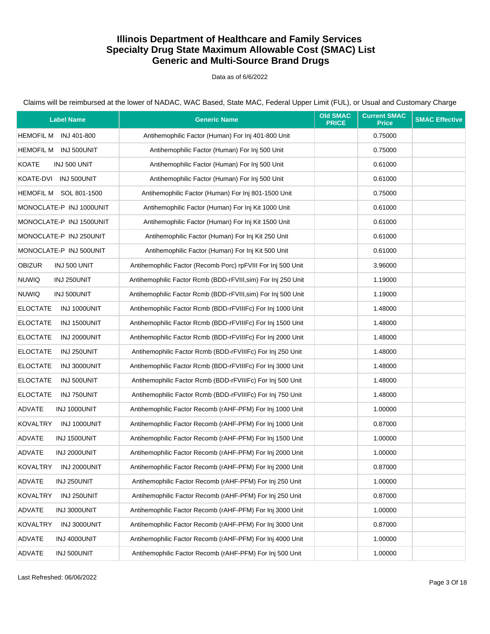### Data as of 6/6/2022

| <b>Label Name</b>               | <b>Generic Name</b>                                           | <b>Old SMAC</b><br><b>PRICE</b> | <b>Current SMAC</b><br><b>Price</b> | <b>SMAC Effective</b> |
|---------------------------------|---------------------------------------------------------------|---------------------------------|-------------------------------------|-----------------------|
| HEMOFIL M INJ 401-800           | Antihemophilic Factor (Human) For Inj 401-800 Unit            |                                 | 0.75000                             |                       |
| HEMOFIL M INJ 500UNIT           | Antihemophilic Factor (Human) For Inj 500 Unit                |                                 | 0.75000                             |                       |
| <b>KOATE</b><br>INJ 500 UNIT    | Antihemophilic Factor (Human) For Inj 500 Unit                |                                 | 0.61000                             |                       |
| KOATE-DVI INJ 500UNIT           | Antihemophilic Factor (Human) For Inj 500 Unit                |                                 | 0.61000                             |                       |
| HEMOFIL M SOL 801-1500          | Antihemophilic Factor (Human) For Inj 801-1500 Unit           |                                 | 0.75000                             |                       |
| MONOCLATE-P INJ 1000UNIT        | Antihemophilic Factor (Human) For Inj Kit 1000 Unit           |                                 | 0.61000                             |                       |
| MONOCLATE-P INJ 1500UNIT        | Antihemophilic Factor (Human) For Inj Kit 1500 Unit           |                                 | 0.61000                             |                       |
| MONOCLATE-P INJ 250UNIT         | Antihemophilic Factor (Human) For Inj Kit 250 Unit            |                                 | 0.61000                             |                       |
| MONOCLATE-P INJ 500UNIT         | Antihemophilic Factor (Human) For Inj Kit 500 Unit            |                                 | 0.61000                             |                       |
| <b>OBIZUR</b><br>INJ 500 UNIT   | Antihemophilic Factor (Recomb Porc) rpFVIII For Inj 500 Unit  |                                 | 3.96000                             |                       |
| <b>NUWIQ</b><br>INJ 250UNIT     | Antihemophilic Factor Rcmb (BDD-rFVIII, sim) For Inj 250 Unit |                                 | 1.19000                             |                       |
| <b>NUWIQ</b><br>INJ 500UNIT     | Antihemophilic Factor Rcmb (BDD-rFVIII, sim) For Inj 500 Unit |                                 | 1.19000                             |                       |
| <b>ELOCTATE</b><br>INJ 1000UNIT | Antihemophilic Factor Rcmb (BDD-rFVIIIFc) For Inj 1000 Unit   |                                 | 1.48000                             |                       |
| <b>ELOCTATE</b><br>INJ 1500UNIT | Antihemophilic Factor Rcmb (BDD-rFVIIIFc) For Inj 1500 Unit   |                                 | 1.48000                             |                       |
| <b>ELOCTATE</b><br>INJ 2000UNIT | Antihemophilic Factor Rcmb (BDD-rFVIIIFc) For Inj 2000 Unit   |                                 | 1.48000                             |                       |
| <b>ELOCTATE</b><br>INJ 250UNIT  | Antihemophilic Factor Rcmb (BDD-rFVIIIFc) For Inj 250 Unit    |                                 | 1.48000                             |                       |
| <b>ELOCTATE</b><br>INJ 3000UNIT | Antihemophilic Factor Rcmb (BDD-rFVIIIFc) For Inj 3000 Unit   |                                 | 1.48000                             |                       |
| <b>ELOCTATE</b><br>INJ 500UNIT  | Antihemophilic Factor Rcmb (BDD-rFVIIIFc) For Inj 500 Unit    |                                 | 1.48000                             |                       |
| <b>ELOCTATE</b><br>INJ 750UNIT  | Antihemophilic Factor Rcmb (BDD-rFVIIIFc) For Inj 750 Unit    |                                 | 1.48000                             |                       |
| ADVATE<br>INJ 1000UNIT          | Antihemophilic Factor Recomb (rAHF-PFM) For Inj 1000 Unit     |                                 | 1.00000                             |                       |
| <b>KOVALTRY</b><br>INJ 1000UNIT | Antihemophilic Factor Recomb (rAHF-PFM) For Inj 1000 Unit     |                                 | 0.87000                             |                       |
| ADVATE<br>INJ 1500UNIT          | Antihemophilic Factor Recomb (rAHF-PFM) For Inj 1500 Unit     |                                 | 1.00000                             |                       |
| ADVATE<br>INJ 2000UNIT          | Antihemophilic Factor Recomb (rAHF-PFM) For Inj 2000 Unit     |                                 | 1.00000                             |                       |
| KOVALTRY<br>INJ 2000UNIT        | Antihemophilic Factor Recomb (rAHF-PFM) For Inj 2000 Unit     |                                 | 0.87000                             |                       |
| <b>ADVATE</b><br>INJ 250UNIT    | Antihemophilic Factor Recomb (rAHF-PFM) For Inj 250 Unit      |                                 | 1.00000                             |                       |
| <b>KOVALTRY</b><br>INJ 250UNIT  | Antihemophilic Factor Recomb (rAHF-PFM) For Inj 250 Unit      |                                 | 0.87000                             |                       |
| ADVATE<br>INJ 3000UNIT          | Antihemophilic Factor Recomb (rAHF-PFM) For Inj 3000 Unit     |                                 | 1.00000                             |                       |
| <b>KOVALTRY</b><br>INJ 3000UNIT | Antihemophilic Factor Recomb (rAHF-PFM) For Inj 3000 Unit     |                                 | 0.87000                             |                       |
| ADVATE<br>INJ 4000UNIT          | Antihemophilic Factor Recomb (rAHF-PFM) For Inj 4000 Unit     |                                 | 1.00000                             |                       |
| ADVATE<br>INJ 500UNIT           | Antihemophilic Factor Recomb (rAHF-PFM) For Inj 500 Unit      |                                 | 1.00000                             |                       |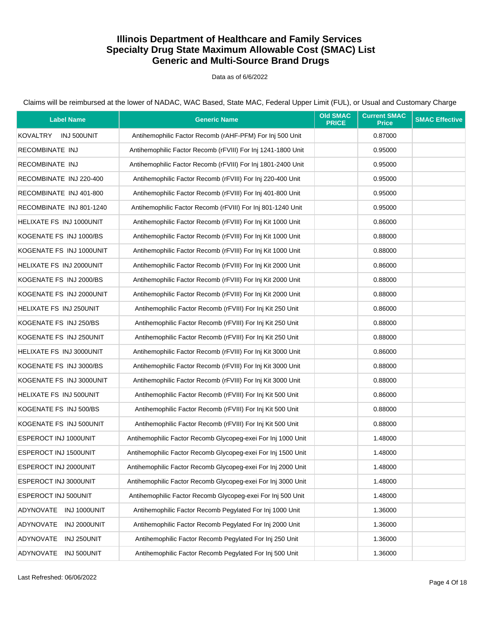#### Data as of 6/6/2022

| <b>Label Name</b>        | <b>Generic Name</b>                                          | <b>Old SMAC</b><br><b>PRICE</b> | <b>Current SMAC</b><br><b>Price</b> | <b>SMAC Effective</b> |
|--------------------------|--------------------------------------------------------------|---------------------------------|-------------------------------------|-----------------------|
| KOVALTRY INJ 500UNIT     | Antihemophilic Factor Recomb (rAHF-PFM) For Inj 500 Unit     |                                 | 0.87000                             |                       |
| RECOMBINATE INJ          | Antihemophilic Factor Recomb (rFVIII) For Inj 1241-1800 Unit |                                 | 0.95000                             |                       |
| RECOMBINATE INJ          | Antihemophilic Factor Recomb (rFVIII) For Inj 1801-2400 Unit |                                 | 0.95000                             |                       |
| RECOMBINATE INJ 220-400  | Antihemophilic Factor Recomb (rFVIII) For Inj 220-400 Unit   |                                 | 0.95000                             |                       |
| RECOMBINATE INJ 401-800  | Antihemophilic Factor Recomb (rFVIII) For Inj 401-800 Unit   |                                 | 0.95000                             |                       |
| RECOMBINATE INJ 801-1240 | Antihemophilic Factor Recomb (rFVIII) For Inj 801-1240 Unit  |                                 | 0.95000                             |                       |
| HELIXATE FS INJ 1000UNIT | Antihemophilic Factor Recomb (rFVIII) For Inj Kit 1000 Unit  |                                 | 0.86000                             |                       |
| KOGENATE FS INJ 1000/BS  | Antihemophilic Factor Recomb (rFVIII) For Inj Kit 1000 Unit  |                                 | 0.88000                             |                       |
| KOGENATE FS INJ 1000UNIT | Antihemophilic Factor Recomb (rFVIII) For Inj Kit 1000 Unit  |                                 | 0.88000                             |                       |
| HELIXATE FS INJ 2000UNIT | Antihemophilic Factor Recomb (rFVIII) For Inj Kit 2000 Unit  |                                 | 0.86000                             |                       |
| KOGENATE FS INJ 2000/BS  | Antihemophilic Factor Recomb (rFVIII) For Inj Kit 2000 Unit  |                                 | 0.88000                             |                       |
| KOGENATE FS INJ 2000UNIT | Antihemophilic Factor Recomb (rFVIII) For Inj Kit 2000 Unit  |                                 | 0.88000                             |                       |
| HELIXATE FS INJ 250UNIT  | Antihemophilic Factor Recomb (rFVIII) For Inj Kit 250 Unit   |                                 | 0.86000                             |                       |
| KOGENATE FS INJ 250/BS   | Antihemophilic Factor Recomb (rFVIII) For Inj Kit 250 Unit   |                                 | 0.88000                             |                       |
| KOGENATE FS INJ 250UNIT  | Antihemophilic Factor Recomb (rFVIII) For Inj Kit 250 Unit   |                                 | 0.88000                             |                       |
| HELIXATE FS INJ 3000UNIT | Antihemophilic Factor Recomb (rFVIII) For Inj Kit 3000 Unit  |                                 | 0.86000                             |                       |
| KOGENATE FS INJ 3000/BS  | Antihemophilic Factor Recomb (rFVIII) For Inj Kit 3000 Unit  |                                 | 0.88000                             |                       |
| KOGENATE FS INJ 3000UNIT | Antihemophilic Factor Recomb (rFVIII) For Inj Kit 3000 Unit  |                                 | 0.88000                             |                       |
| HELIXATE FS INJ 500UNIT  | Antihemophilic Factor Recomb (rFVIII) For Inj Kit 500 Unit   |                                 | 0.86000                             |                       |
| KOGENATE FS INJ 500/BS   | Antihemophilic Factor Recomb (rFVIII) For Inj Kit 500 Unit   |                                 | 0.88000                             |                       |
| KOGENATE FS INJ 500UNIT  | Antihemophilic Factor Recomb (rFVIII) For Inj Kit 500 Unit   |                                 | 0.88000                             |                       |
| ESPEROCT INJ 1000UNIT    | Antihemophilic Factor Recomb Glycopeg-exei For Inj 1000 Unit |                                 | 1.48000                             |                       |
| ESPEROCT INJ 1500UNIT    | Antihemophilic Factor Recomb Glycopeg-exei For Inj 1500 Unit |                                 | 1.48000                             |                       |
| ESPEROCT INJ 2000UNIT    | Antihemophilic Factor Recomb Glycopeg-exei For Inj 2000 Unit |                                 | 1.48000                             |                       |
| ESPEROCT INJ 3000UNIT    | Antihemophilic Factor Recomb Glycopeq-exei For Inj 3000 Unit |                                 | 1.48000                             |                       |
| ESPEROCT INJ 500UNIT     | Antihemophilic Factor Recomb Glycopeg-exei For Inj 500 Unit  |                                 | 1.48000                             |                       |
| ADYNOVATE INJ 1000UNIT   | Antihemophilic Factor Recomb Pegylated For Inj 1000 Unit     |                                 | 1.36000                             |                       |
| ADYNOVATE INJ 2000UNIT   | Antihemophilic Factor Recomb Pegylated For Inj 2000 Unit     |                                 | 1.36000                             |                       |
| ADYNOVATE<br>INJ 250UNIT | Antihemophilic Factor Recomb Pegylated For Inj 250 Unit      |                                 | 1.36000                             |                       |
| ADYNOVATE INJ 500UNIT    | Antihemophilic Factor Recomb Pegylated For Inj 500 Unit      |                                 | 1.36000                             |                       |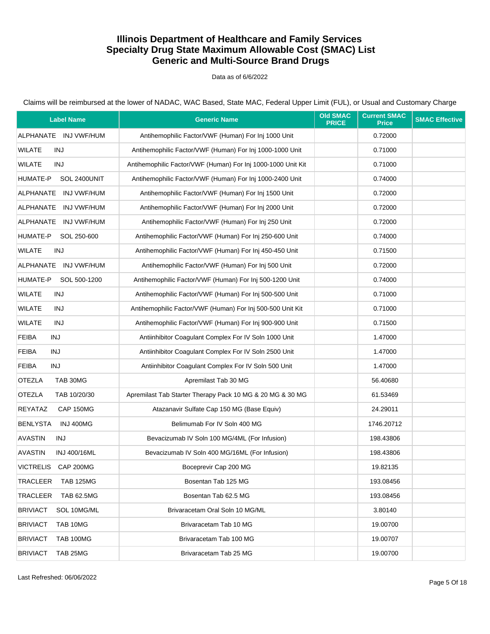### Data as of 6/6/2022

| <b>Label Name</b>                    | <b>Generic Name</b>                                          | <b>Old SMAC</b><br><b>PRICE</b> | <b>Current SMAC</b><br><b>Price</b> | <b>SMAC Effective</b> |
|--------------------------------------|--------------------------------------------------------------|---------------------------------|-------------------------------------|-----------------------|
| ALPHANATE INJ VWF/HUM                | Antihemophilic Factor/VWF (Human) For Inj 1000 Unit          |                                 | 0.72000                             |                       |
| <b>WILATE</b><br>INJ                 | Antihemophilic Factor/VWF (Human) For Inj 1000-1000 Unit     |                                 | 0.71000                             |                       |
| <b>WILATE</b><br>INJ                 | Antihemophilic Factor/VWF (Human) For Inj 1000-1000 Unit Kit |                                 | 0.71000                             |                       |
| HUMATE-P<br>SOL 2400UNIT             | Antihemophilic Factor/VWF (Human) For Inj 1000-2400 Unit     |                                 | 0.74000                             |                       |
| ALPHANATE INJ VWF/HUM                | Antihemophilic Factor/VWF (Human) For Inj 1500 Unit          |                                 | 0.72000                             |                       |
| ALPHANATE<br>INJ VWF/HUM             | Antihemophilic Factor/VWF (Human) For Inj 2000 Unit          |                                 | 0.72000                             |                       |
| ALPHANATE INJ VWF/HUM                | Antihemophilic Factor/VWF (Human) For Inj 250 Unit           |                                 | 0.72000                             |                       |
| HUMATE-P<br>SOL 250-600              | Antihemophilic Factor/VWF (Human) For Inj 250-600 Unit       |                                 | 0.74000                             |                       |
| WILATE<br>INJ                        | Antihemophilic Factor/VWF (Human) For Inj 450-450 Unit       |                                 | 0.71500                             |                       |
| ALPHANATE INJ VWF/HUM                | Antihemophilic Factor/VWF (Human) For Inj 500 Unit           |                                 | 0.72000                             |                       |
| HUMATE-P<br>SOL 500-1200             | Antihemophilic Factor/VWF (Human) For Inj 500-1200 Unit      |                                 | 0.74000                             |                       |
| <b>WILATE</b><br>INJ                 | Antihemophilic Factor/VWF (Human) For Inj 500-500 Unit       |                                 | 0.71000                             |                       |
| <b>WILATE</b><br>INJ                 | Antihemophilic Factor/VWF (Human) For Inj 500-500 Unit Kit   |                                 | 0.71000                             |                       |
| <b>WILATE</b><br>INJ                 | Antihemophilic Factor/VWF (Human) For Inj 900-900 Unit       |                                 | 0.71500                             |                       |
| <b>FEIBA</b><br>INJ                  | Antiinhibitor Coaqulant Complex For IV Soln 1000 Unit        |                                 | 1.47000                             |                       |
| <b>FEIBA</b><br>INJ                  | Antiinhibitor Coagulant Complex For IV Soln 2500 Unit        |                                 | 1.47000                             |                       |
| <b>FEIBA</b><br>INJ                  | Antiinhibitor Coagulant Complex For IV Soln 500 Unit         |                                 | 1.47000                             |                       |
| <b>OTEZLA</b><br>TAB 30MG            | Apremilast Tab 30 MG                                         |                                 | 56.40680                            |                       |
| <b>OTEZLA</b><br>TAB 10/20/30        | Apremilast Tab Starter Therapy Pack 10 MG & 20 MG & 30 MG    |                                 | 61.53469                            |                       |
| REYATAZ<br>CAP 150MG                 | Atazanavir Sulfate Cap 150 MG (Base Equiv)                   |                                 | 24.29011                            |                       |
| <b>BENLYSTA</b><br><b>INJ 400MG</b>  | Belimumab For IV Soln 400 MG                                 |                                 | 1746.20712                          |                       |
| <b>AVASTIN</b><br>INJ                | Bevacizumab IV Soln 100 MG/4ML (For Infusion)                |                                 | 198.43806                           |                       |
| <b>AVASTIN</b><br>INJ 400/16ML       | Bevacizumab IV Soln 400 MG/16ML (For Infusion)               |                                 | 198.43806                           |                       |
| VICTRELIS CAP 200MG                  | Boceprevir Cap 200 MG                                        |                                 | 19.82135                            |                       |
| TRACLEER<br><b>TAB 125MG</b>         | Bosentan Tab 125 MG                                          |                                 | 193.08456                           |                       |
| <b>TRACLEER</b><br><b>TAB 62.5MG</b> | Bosentan Tab 62.5 MG                                         |                                 | 193.08456                           |                       |
| <b>BRIVIACT</b><br>SOL 10MG/ML       | Brivaracetam Oral Soln 10 MG/ML                              |                                 | 3.80140                             |                       |
| <b>BRIVIACT</b><br>TAB 10MG          | Brivaracetam Tab 10 MG                                       |                                 | 19.00700                            |                       |
| <b>BRIVIACT</b><br>TAB 100MG         | Brivaracetam Tab 100 MG                                      |                                 | 19.00707                            |                       |
| <b>BRIVIACT</b><br>TAB 25MG          | Brivaracetam Tab 25 MG                                       |                                 | 19.00700                            |                       |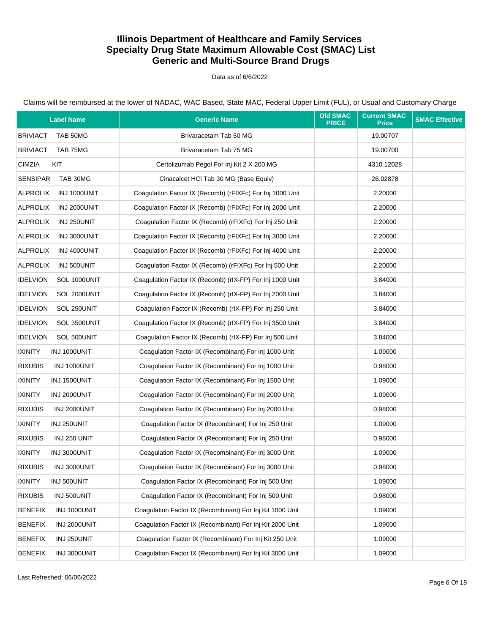Data as of 6/6/2022

| <b>Label Name</b>               | <b>Generic Name</b>                                       | <b>Old SMAC</b><br><b>PRICE</b> | <b>Current SMAC</b><br><b>Price</b> | <b>SMAC Effective</b> |
|---------------------------------|-----------------------------------------------------------|---------------------------------|-------------------------------------|-----------------------|
| <b>BRIVIACT</b><br>TAB 50MG     | Brivaracetam Tab 50 MG                                    |                                 | 19.00707                            |                       |
| <b>BRIVIACT</b><br>TAB 75MG     | Brivaracetam Tab 75 MG                                    |                                 | 19.00700                            |                       |
| <b>CIMZIA</b><br>KIT            | Certolizumab Pegol For Inj Kit 2 X 200 MG                 |                                 | 4310.12028                          |                       |
| <b>SENSIPAR</b><br>TAB 30MG     | Cinacalcet HCl Tab 30 MG (Base Equiv)                     |                                 | 26.02878                            |                       |
| <b>ALPROLIX</b><br>INJ 1000UNIT | Coagulation Factor IX (Recomb) (rFIXFc) For Inj 1000 Unit |                                 | 2.20000                             |                       |
| <b>ALPROLIX</b><br>INJ 2000UNIT | Coagulation Factor IX (Recomb) (rFIXFc) For Inj 2000 Unit |                                 | 2.20000                             |                       |
| ALPROLIX<br>INJ 250UNIT         | Coagulation Factor IX (Recomb) (rFIXFc) For Inj 250 Unit  |                                 | 2.20000                             |                       |
| <b>ALPROLIX</b><br>INJ 3000UNIT | Coagulation Factor IX (Recomb) (rFIXFc) For Inj 3000 Unit |                                 | 2.20000                             |                       |
| <b>ALPROLIX</b><br>INJ 4000UNIT | Coagulation Factor IX (Recomb) (rFIXFc) For Inj 4000 Unit |                                 | 2.20000                             |                       |
| <b>ALPROLIX</b><br>INJ 500UNIT  | Coagulation Factor IX (Recomb) (rFIXFc) For Inj 500 Unit  |                                 | 2.20000                             |                       |
| <b>IDELVION</b><br>SOL 1000UNIT | Coagulation Factor IX (Recomb) (rIX-FP) For Inj 1000 Unit |                                 | 3.84000                             |                       |
| <b>IDELVION</b><br>SOL 2000UNIT | Coagulation Factor IX (Recomb) (rIX-FP) For Inj 2000 Unit |                                 | 3.84000                             |                       |
| <b>IDELVION</b><br>SOL 250UNIT  | Coaqulation Factor IX (Recomb) (rIX-FP) For Inj 250 Unit  |                                 | 3.84000                             |                       |
| <b>IDELVION</b><br>SOL 3500UNIT | Coagulation Factor IX (Recomb) (rIX-FP) For Inj 3500 Unit |                                 | 3.84000                             |                       |
| <b>IDELVION</b><br>SOL 500UNIT  | Coaqulation Factor IX (Recomb) (rIX-FP) For Inj 500 Unit  |                                 | 3.84000                             |                       |
| <b>IXINITY</b><br>INJ 1000UNIT  | Coagulation Factor IX (Recombinant) For Inj 1000 Unit     |                                 | 1.09000                             |                       |
| <b>RIXUBIS</b><br>INJ 1000UNIT  | Coagulation Factor IX (Recombinant) For Inj 1000 Unit     |                                 | 0.98000                             |                       |
| <b>IXINITY</b><br>INJ 1500UNIT  | Coagulation Factor IX (Recombinant) For Inj 1500 Unit     |                                 | 1.09000                             |                       |
| <b>IXINITY</b><br>INJ 2000UNIT  | Coagulation Factor IX (Recombinant) For Inj 2000 Unit     |                                 | 1.09000                             |                       |
| <b>RIXUBIS</b><br>INJ 2000UNIT  | Coagulation Factor IX (Recombinant) For Inj 2000 Unit     |                                 | 0.98000                             |                       |
| <b>IXINITY</b><br>INJ 250UNIT   | Coagulation Factor IX (Recombinant) For Inj 250 Unit      |                                 | 1.09000                             |                       |
| <b>RIXUBIS</b><br>INJ 250 UNIT  | Coagulation Factor IX (Recombinant) For Inj 250 Unit      |                                 | 0.98000                             |                       |
| <b>IXINITY</b><br>INJ 3000UNIT  | Coaqulation Factor IX (Recombinant) For Inj 3000 Unit     |                                 | 1.09000                             |                       |
| <b>RIXUBIS</b><br>INJ 3000UNIT  | Coagulation Factor IX (Recombinant) For Inj 3000 Unit     |                                 | 0.98000                             |                       |
| <b>IXINITY</b><br>INJ 500UNIT   | Coagulation Factor IX (Recombinant) For Inj 500 Unit      |                                 | 1.09000                             |                       |
| <b>RIXUBIS</b><br>INJ 500UNIT   | Coagulation Factor IX (Recombinant) For Inj 500 Unit      |                                 | 0.98000                             |                       |
| <b>BENEFIX</b><br>INJ 1000UNIT  | Coagulation Factor IX (Recombinant) For Inj Kit 1000 Unit |                                 | 1.09000                             |                       |
| <b>BENEFIX</b><br>INJ 2000UNIT  | Coagulation Factor IX (Recombinant) For Inj Kit 2000 Unit |                                 | 1.09000                             |                       |
| <b>BENEFIX</b><br>INJ 250UNIT   | Coagulation Factor IX (Recombinant) For Inj Kit 250 Unit  |                                 | 1.09000                             |                       |
| <b>BENEFIX</b><br>INJ 3000UNIT  | Coagulation Factor IX (Recombinant) For Inj Kit 3000 Unit |                                 | 1.09000                             |                       |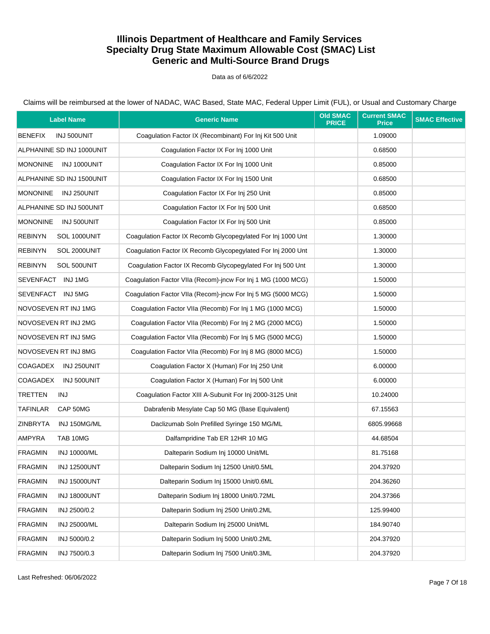### Data as of 6/6/2022

| <b>Label Name</b>                     | <b>Generic Name</b>                                          | <b>Old SMAC</b><br><b>PRICE</b> | <b>Current SMAC</b><br><b>Price</b> | <b>SMAC Effective</b> |
|---------------------------------------|--------------------------------------------------------------|---------------------------------|-------------------------------------|-----------------------|
| <b>BENEFIX</b><br>INJ 500UNIT         | Coagulation Factor IX (Recombinant) For Inj Kit 500 Unit     |                                 | 1.09000                             |                       |
| ALPHANINE SD INJ 1000UNIT             | Coagulation Factor IX For Inj 1000 Unit                      |                                 | 0.68500                             |                       |
| <b>MONONINE</b><br>INJ 1000UNIT       | Coaqulation Factor IX For Inj 1000 Unit                      |                                 | 0.85000                             |                       |
| ALPHANINE SD INJ 1500UNIT             | Coagulation Factor IX For Inj 1500 Unit                      |                                 | 0.68500                             |                       |
| <b>MONONINE</b><br>INJ 250UNIT        | Coagulation Factor IX For Inj 250 Unit                       |                                 | 0.85000                             |                       |
| ALPHANINE SD INJ 500UNIT              | Coaqulation Factor IX For Inj 500 Unit                       |                                 | 0.68500                             |                       |
| <b>MONONINE</b><br>INJ 500UNIT        | Coaqulation Factor IX For Inj 500 Unit                       |                                 | 0.85000                             |                       |
| <b>REBINYN</b><br>SOL 1000UNIT        | Coagulation Factor IX Recomb Glycopegylated For Inj 1000 Unt |                                 | 1.30000                             |                       |
| <b>REBINYN</b><br>SOL 2000UNIT        | Coagulation Factor IX Recomb Glycopegylated For Inj 2000 Unt |                                 | 1.30000                             |                       |
| <b>REBINYN</b><br>SOL 500UNIT         | Coagulation Factor IX Recomb Glycopegylated For Inj 500 Unt  |                                 | 1.30000                             |                       |
| SEVENFACT INJ1MG                      | Coagulation Factor VIIa (Recom)-incw For Inj 1 MG (1000 MCG) |                                 | 1.50000                             |                       |
| SEVENFACT INJ 5MG                     | Coagulation Factor VIIa (Recom)-jncw For Inj 5 MG (5000 MCG) |                                 | 1.50000                             |                       |
| NOVOSEVEN RT INJ 1MG                  | Coagulation Factor VIIa (Recomb) For Inj 1 MG (1000 MCG)     |                                 | 1.50000                             |                       |
| NOVOSEVEN RT INJ 2MG                  | Coagulation Factor VIIa (Recomb) For Inj 2 MG (2000 MCG)     |                                 | 1.50000                             |                       |
| NOVOSEVEN RT INJ 5MG                  | Coagulation Factor VIIa (Recomb) For Inj 5 MG (5000 MCG)     |                                 | 1.50000                             |                       |
| NOVOSEVEN RT INJ 8MG                  | Coagulation Factor VIIa (Recomb) For Inj 8 MG (8000 MCG)     |                                 | 1.50000                             |                       |
| COAGADEX<br>INJ 250UNIT               | Coagulation Factor X (Human) For Inj 250 Unit                |                                 | 6.00000                             |                       |
| <b>COAGADEX</b><br>INJ 500UNIT        | Coagulation Factor X (Human) For Inj 500 Unit                |                                 | 6.00000                             |                       |
| <b>TRETTEN</b><br><b>INJ</b>          | Coagulation Factor XIII A-Subunit For Inj 2000-3125 Unit     |                                 | 10.24000                            |                       |
| <b>TAFINLAR</b><br>CAP 50MG           | Dabrafenib Mesylate Cap 50 MG (Base Equivalent)              |                                 | 67.15563                            |                       |
| <b>ZINBRYTA</b><br>INJ 150MG/ML       | Daclizumab Soln Prefilled Syringe 150 MG/ML                  |                                 | 6805.99668                          |                       |
| <b>AMPYRA</b><br>TAB 10MG             | Dalfampridine Tab ER 12HR 10 MG                              |                                 | 44.68504                            |                       |
| <b>FRAGMIN</b><br>INJ 10000/ML        | Dalteparin Sodium Inj 10000 Unit/ML                          |                                 | 81.75168                            |                       |
| <b>FRAGMIN</b><br><b>INJ 12500UNT</b> | Dalteparin Sodium Inj 12500 Unit/0.5ML                       |                                 | 204.37920                           |                       |
| <b>FRAGMIN</b><br><b>INJ 15000UNT</b> | Dalteparin Sodium Inj 15000 Unit/0.6ML                       |                                 | 204.36260                           |                       |
| <b>FRAGMIN</b><br><b>INJ 18000UNT</b> | Dalteparin Sodium Inj 18000 Unit/0.72ML                      |                                 | 204.37366                           |                       |
| <b>FRAGMIN</b><br>INJ 2500/0.2        | Dalteparin Sodium Inj 2500 Unit/0.2ML                        |                                 | 125.99400                           |                       |
| <b>FRAGMIN</b><br>INJ 25000/ML        | Dalteparin Sodium Inj 25000 Unit/ML                          |                                 | 184.90740                           |                       |
| <b>FRAGMIN</b><br>INJ 5000/0.2        | Dalteparin Sodium Inj 5000 Unit/0.2ML                        |                                 | 204.37920                           |                       |
| <b>FRAGMIN</b><br>INJ 7500/0.3        | Dalteparin Sodium Inj 7500 Unit/0.3ML                        |                                 | 204.37920                           |                       |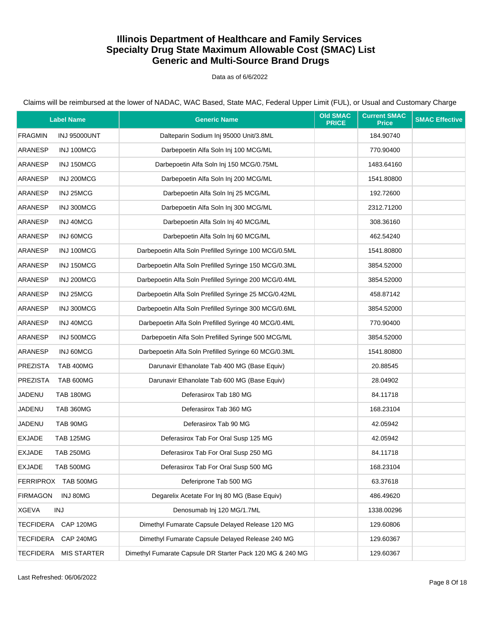### Data as of 6/6/2022

Claims will be reimbursed at the lower of NADAC, WAC Based, State MAC, Federal Upper Limit (FUL), or Usual and Customary Charge

| <b>Label Name</b>                      | <b>Generic Name</b>                                       | <b>Old SMAC</b><br><b>PRICE</b> | <b>Current SMAC</b><br><b>Price</b> | <b>SMAC Effective</b> |
|----------------------------------------|-----------------------------------------------------------|---------------------------------|-------------------------------------|-----------------------|
| <b>FRAGMIN</b><br><b>INJ 95000UNT</b>  | Dalteparin Sodium Inj 95000 Unit/3.8ML                    |                                 | 184.90740                           |                       |
| ARANESP<br>INJ 100MCG                  | Darbepoetin Alfa Soln Inj 100 MCG/ML                      |                                 | 770.90400                           |                       |
| ARANESP<br>INJ 150MCG                  | Darbepoetin Alfa Soln Inj 150 MCG/0.75ML                  |                                 | 1483.64160                          |                       |
| ARANESP<br>INJ 200MCG                  | Darbepoetin Alfa Soln Inj 200 MCG/ML                      |                                 | 1541.80800                          |                       |
| ARANESP<br>INJ 25MCG                   | Darbepoetin Alfa Soln Inj 25 MCG/ML                       |                                 | 192.72600                           |                       |
| <b>ARANESP</b><br>INJ 300MCG           | Darbepoetin Alfa Soln Inj 300 MCG/ML                      |                                 | 2312.71200                          |                       |
| <b>ARANESP</b><br>INJ 40MCG            | Darbepoetin Alfa Soln Inj 40 MCG/ML                       |                                 | 308.36160                           |                       |
| ARANESP<br>INJ 60MCG                   | Darbepoetin Alfa Soln Inj 60 MCG/ML                       |                                 | 462.54240                           |                       |
| ARANESP<br>INJ 100MCG                  | Darbepoetin Alfa Soln Prefilled Syringe 100 MCG/0.5ML     |                                 | 1541.80800                          |                       |
| ARANESP<br>INJ 150MCG                  | Darbepoetin Alfa Soln Prefilled Syringe 150 MCG/0.3ML     |                                 | 3854.52000                          |                       |
| ARANESP<br>INJ 200MCG                  | Darbepoetin Alfa Soln Prefilled Syringe 200 MCG/0.4ML     |                                 | 3854.52000                          |                       |
| ARANESP<br>INJ 25MCG                   | Darbepoetin Alfa Soln Prefilled Syringe 25 MCG/0.42ML     |                                 | 458.87142                           |                       |
| ARANESP<br>INJ 300MCG                  | Darbepoetin Alfa Soln Prefilled Syringe 300 MCG/0.6ML     |                                 | 3854.52000                          |                       |
| ARANESP<br>INJ 40MCG                   | Darbepoetin Alfa Soln Prefilled Syringe 40 MCG/0.4ML      |                                 | 770.90400                           |                       |
| ARANESP<br>INJ 500MCG                  | Darbepoetin Alfa Soln Prefilled Syringe 500 MCG/ML        |                                 | 3854.52000                          |                       |
| ARANESP<br>INJ 60MCG                   | Darbepoetin Alfa Soln Prefilled Syringe 60 MCG/0.3ML      |                                 | 1541.80800                          |                       |
| <b>PREZISTA</b><br><b>TAB 400MG</b>    | Darunavir Ethanolate Tab 400 MG (Base Equiv)              |                                 | 20.88545                            |                       |
| <b>PREZISTA</b><br>TAB 600MG           | Darunavir Ethanolate Tab 600 MG (Base Equiv)              |                                 | 28.04902                            |                       |
| JADENU<br><b>TAB 180MG</b>             | Deferasirox Tab 180 MG                                    |                                 | 84.11718                            |                       |
| JADENU<br>TAB 360MG                    | Deferasirox Tab 360 MG                                    |                                 | 168.23104                           |                       |
| JADENU<br>TAB 90MG                     | Deferasirox Tab 90 MG                                     |                                 | 42.05942                            |                       |
| <b>EXJADE</b><br><b>TAB 125MG</b>      | Deferasirox Tab For Oral Susp 125 MG                      |                                 | 42.05942                            |                       |
| <b>EXJADE</b><br><b>TAB 250MG</b>      | Deferasirox Tab For Oral Susp 250 MG                      |                                 | 84.11718                            |                       |
| <b>EXJADE</b><br>TAB 500MG             | Deferasirox Tab For Oral Susp 500 MG                      |                                 | 168.23104                           |                       |
| FERRIPROX TAB 500MG                    | Deferiprone Tab 500 MG                                    |                                 | 63.37618                            |                       |
| <b>FIRMAGON</b><br>INJ 80MG            | Degarelix Acetate For Inj 80 MG (Base Equiv)              |                                 | 486.49620                           |                       |
| <b>XGEVA</b><br><b>INJ</b>             | Denosumab Inj 120 MG/1.7ML                                |                                 | 1338.00296                          |                       |
| TECFIDERA CAP 120MG                    | Dimethyl Fumarate Capsule Delayed Release 120 MG          |                                 | 129.60806                           |                       |
| <b>TECFIDERA</b><br><b>CAP 240MG</b>   | Dimethyl Fumarate Capsule Delayed Release 240 MG          |                                 | 129.60367                           |                       |
| <b>TECFIDERA</b><br><b>MIS STARTER</b> | Dimethyl Fumarate Capsule DR Starter Pack 120 MG & 240 MG |                                 | 129.60367                           |                       |

Last Refreshed: 06/06/2022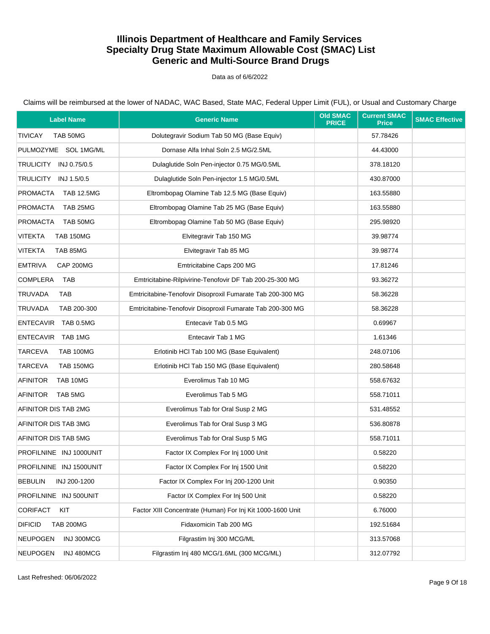### Data as of 6/6/2022

| <b>Label Name</b>                  | <b>Generic Name</b>                                        | <b>Old SMAC</b><br><b>PRICE</b> | <b>Current SMAC</b><br><b>Price</b> | <b>SMAC Effective</b> |
|------------------------------------|------------------------------------------------------------|---------------------------------|-------------------------------------|-----------------------|
| <b>TIVICAY</b><br>TAB 50MG         | Dolutegravir Sodium Tab 50 MG (Base Equiv)                 |                                 | 57.78426                            |                       |
| PULMOZYME SOL 1MG/ML               | Dornase Alfa Inhal Soln 2.5 MG/2.5ML                       |                                 | 44.43000                            |                       |
| TRULICITY INJ 0.75/0.5             | Dulaglutide Soln Pen-injector 0.75 MG/0.5ML                |                                 | 378.18120                           |                       |
| TRULICITY INJ 1.5/0.5              | Dulaglutide Soln Pen-injector 1.5 MG/0.5ML                 |                                 | 430.87000                           |                       |
| PROMACTA<br><b>TAB 12.5MG</b>      | Eltrombopag Olamine Tab 12.5 MG (Base Equiv)               |                                 | 163.55880                           |                       |
| <b>PROMACTA</b><br>TAB 25MG        | Eltrombopag Olamine Tab 25 MG (Base Equiv)                 |                                 | 163.55880                           |                       |
| PROMACTA<br>TAB 50MG               | Eltrombopag Olamine Tab 50 MG (Base Equiv)                 |                                 | 295.98920                           |                       |
| <b>VITEKTA</b><br><b>TAB 150MG</b> | Elvitegravir Tab 150 MG                                    |                                 | 39.98774                            |                       |
| VITEKTA<br>TAB 85MG                | Elvitegravir Tab 85 MG                                     |                                 | 39.98774                            |                       |
| <b>EMTRIVA</b><br>CAP 200MG        | Emtricitabine Caps 200 MG                                  |                                 | 17.81246                            |                       |
| COMPLERA<br>TAB                    | Emtricitabine-Rilpivirine-Tenofovir DF Tab 200-25-300 MG   |                                 | 93.36272                            |                       |
| <b>TRUVADA</b><br><b>TAB</b>       | Emtricitabine-Tenofovir Disoproxil Fumarate Tab 200-300 MG |                                 | 58.36228                            |                       |
| <b>TRUVADA</b><br>TAB 200-300      | Emtricitabine-Tenofovir Disoproxil Fumarate Tab 200-300 MG |                                 | 58.36228                            |                       |
| ENTECAVIR TAB 0.5MG                | Entecavir Tab 0.5 MG                                       |                                 | 0.69967                             |                       |
| ENTECAVIR TAB 1MG                  | Entecavir Tab 1 MG                                         |                                 | 1.61346                             |                       |
| TARCEVA<br><b>TAB 100MG</b>        | Erlotinib HCl Tab 100 MG (Base Equivalent)                 |                                 | 248.07106                           |                       |
| TARCEVA<br><b>TAB 150MG</b>        | Erlotinib HCl Tab 150 MG (Base Equivalent)                 |                                 | 280.58648                           |                       |
| <b>AFINITOR</b><br>TAB 10MG        | Everolimus Tab 10 MG                                       |                                 | 558.67632                           |                       |
| AFINITOR<br>TAB 5MG                | Everolimus Tab 5 MG                                        |                                 | 558.71011                           |                       |
| AFINITOR DIS TAB 2MG               | Everolimus Tab for Oral Susp 2 MG                          |                                 | 531.48552                           |                       |
| AFINITOR DIS TAB 3MG               | Everolimus Tab for Oral Susp 3 MG                          |                                 | 536.80878                           |                       |
| AFINITOR DIS TAB 5MG               | Everolimus Tab for Oral Susp 5 MG                          |                                 | 558.71011                           |                       |
| PROFILNINE INJ 1000UNIT            | Factor IX Complex For Inj 1000 Unit                        |                                 | 0.58220                             |                       |
| PROFILNINE INJ 1500UNIT            | Factor IX Complex For Inj 1500 Unit                        |                                 | 0.58220                             |                       |
| <b>BEBULIN</b><br>INJ 200-1200     | Factor IX Complex For Inj 200-1200 Unit                    |                                 | 0.90350                             |                       |
| PROFILNINE INJ 500UNIT             | Factor IX Complex For Inj 500 Unit                         |                                 | 0.58220                             |                       |
| <b>CORIFACT</b><br>KIT             | Factor XIII Concentrate (Human) For Inj Kit 1000-1600 Unit |                                 | 6.76000                             |                       |
| <b>DIFICID</b><br><b>TAB 200MG</b> | Fidaxomicin Tab 200 MG                                     |                                 | 192.51684                           |                       |
| <b>NEUPOGEN</b><br>INJ 300MCG      | Filgrastim Inj 300 MCG/ML                                  |                                 | 313.57068                           |                       |
| INJ 480MCG<br><b>NEUPOGEN</b>      | Filgrastim Inj 480 MCG/1.6ML (300 MCG/ML)                  |                                 | 312.07792                           |                       |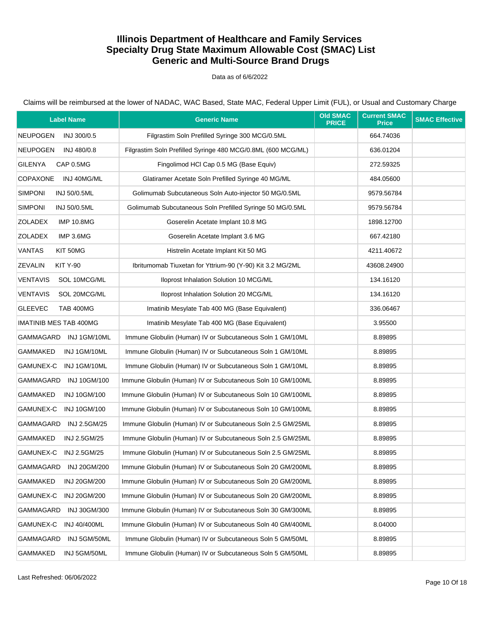### Data as of 6/6/2022

| <b>Label Name</b>                   | <b>Generic Name</b>                                          | <b>Old SMAC</b><br><b>PRICE</b> | <b>Current SMAC</b><br><b>Price</b> | <b>SMAC Effective</b> |
|-------------------------------------|--------------------------------------------------------------|---------------------------------|-------------------------------------|-----------------------|
| <b>NEUPOGEN</b><br>INJ 300/0.5      | Filgrastim Soln Prefilled Syringe 300 MCG/0.5ML              |                                 | 664.74036                           |                       |
| NEUPOGEN<br>INJ 480/0.8             | Filgrastim Soln Prefilled Syringe 480 MCG/0.8ML (600 MCG/ML) |                                 | 636.01204                           |                       |
| <b>GILENYA</b><br>CAP 0.5MG         | Fingolimod HCl Cap 0.5 MG (Base Equiv)                       |                                 | 272.59325                           |                       |
| <b>COPAXONE</b><br>INJ 40MG/ML      | Glatiramer Acetate Soln Prefilled Syringe 40 MG/ML           |                                 | 484.05600                           |                       |
| <b>SIMPONI</b><br>INJ 50/0.5ML      | Golimumab Subcutaneous Soln Auto-injector 50 MG/0.5ML        |                                 | 9579.56784                          |                       |
| <b>SIMPONI</b><br>INJ 50/0.5ML      | Golimumab Subcutaneous Soln Prefilled Syringe 50 MG/0.5ML    |                                 | 9579.56784                          |                       |
| <b>ZOLADEX</b><br><b>IMP 10.8MG</b> | Goserelin Acetate Implant 10.8 MG                            |                                 | 1898.12700                          |                       |
| ZOLADEX<br>IMP 3.6MG                | Goserelin Acetate Implant 3.6 MG                             |                                 | 667.42180                           |                       |
| <b>VANTAS</b><br>KIT 50MG           | Histrelin Acetate Implant Kit 50 MG                          |                                 | 4211.40672                          |                       |
| <b>ZEVALIN</b><br><b>KIT Y-90</b>   | Ibritumomab Tiuxetan for Yttrium-90 (Y-90) Kit 3.2 MG/2ML    |                                 | 43608.24900                         |                       |
| <b>VENTAVIS</b><br>SOL 10MCG/ML     | Iloprost Inhalation Solution 10 MCG/ML                       |                                 | 134.16120                           |                       |
| <b>VENTAVIS</b><br>SOL 20MCG/ML     | Iloprost Inhalation Solution 20 MCG/ML                       |                                 | 134.16120                           |                       |
| <b>GLEEVEC</b><br>TAB 400MG         | Imatinib Mesylate Tab 400 MG (Base Equivalent)               |                                 | 336.06467                           |                       |
| <b>IMATINIB MES TAB 400MG</b>       | Imatinib Mesylate Tab 400 MG (Base Equivalent)               |                                 | 3.95500                             |                       |
| GAMMAGARD INJ1GM/10ML               | Immune Globulin (Human) IV or Subcutaneous Soln 1 GM/10ML    |                                 | 8.89895                             |                       |
| GAMMAKED<br>INJ 1GM/10ML            | Immune Globulin (Human) IV or Subcutaneous Soln 1 GM/10ML    |                                 | 8.89895                             |                       |
| GAMUNEX-C INJ 1GM/10ML              | Immune Globulin (Human) IV or Subcutaneous Soln 1 GM/10ML    |                                 | 8.89895                             |                       |
| GAMMAGARD<br><b>INJ 10GM/100</b>    | Immune Globulin (Human) IV or Subcutaneous Soln 10 GM/100ML  |                                 | 8.89895                             |                       |
| GAMMAKED<br>INJ 10GM/100            | Immune Globulin (Human) IV or Subcutaneous Soln 10 GM/100ML  |                                 | 8.89895                             |                       |
| GAMUNEX-C<br><b>INJ 10GM/100</b>    | Immune Globulin (Human) IV or Subcutaneous Soln 10 GM/100ML  |                                 | 8.89895                             |                       |
| GAMMAGARD<br><b>INJ 2.5GM/25</b>    | Immune Globulin (Human) IV or Subcutaneous Soln 2.5 GM/25ML  |                                 | 8.89895                             |                       |
| GAMMAKED<br>INJ 2.5GM/25            | Immune Globulin (Human) IV or Subcutaneous Soln 2.5 GM/25ML  |                                 | 8.89895                             |                       |
| GAMUNEX-C INJ 2.5GM/25              | Immune Globulin (Human) IV or Subcutaneous Soln 2.5 GM/25ML  |                                 | 8.89895                             |                       |
| GAMMAGARD<br>INJ 20GM/200           | Immune Globulin (Human) IV or Subcutaneous Soln 20 GM/200ML  |                                 | 8.89895                             |                       |
| GAMMAKED<br><b>INJ 20GM/200</b>     | Immune Globulin (Human) IV or Subcutaneous Soln 20 GM/200ML  |                                 | 8.89895                             |                       |
| GAMUNEX-C<br><b>INJ 20GM/200</b>    | Immune Globulin (Human) IV or Subcutaneous Soln 20 GM/200ML  |                                 | 8.89895                             |                       |
| GAMMAGARD<br>INJ 30GM/300           | Immune Globulin (Human) IV or Subcutaneous Soln 30 GM/300ML  |                                 | 8.89895                             |                       |
| GAMUNEX-C<br><b>INJ 40/400ML</b>    | Immune Globulin (Human) IV or Subcutaneous Soln 40 GM/400ML  |                                 | 8.04000                             |                       |
| GAMMAGARD<br>INJ 5GM/50ML           | Immune Globulin (Human) IV or Subcutaneous Soln 5 GM/50ML    |                                 | 8.89895                             |                       |
| GAMMAKED<br>INJ 5GM/50ML            | Immune Globulin (Human) IV or Subcutaneous Soln 5 GM/50ML    |                                 | 8.89895                             |                       |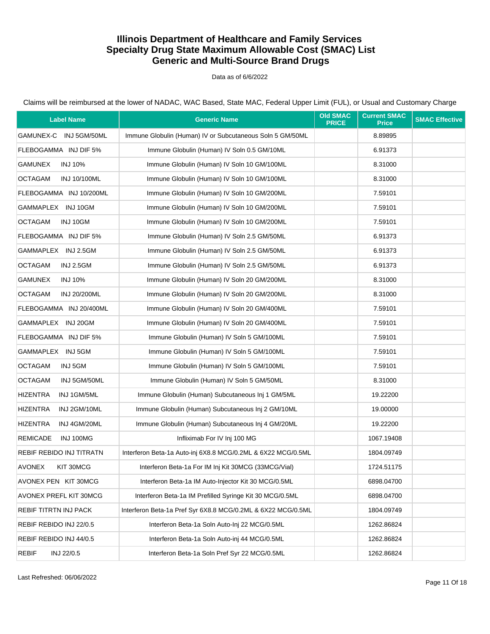### Data as of 6/6/2022

Claims will be reimbursed at the lower of NADAC, WAC Based, State MAC, Federal Upper Limit (FUL), or Usual and Customary Charge

| <b>Label Name</b>                  | <b>Generic Name</b>                                          | <b>Old SMAC</b><br><b>PRICE</b> | <b>Current SMAC</b><br><b>Price</b> | <b>SMAC Effective</b> |
|------------------------------------|--------------------------------------------------------------|---------------------------------|-------------------------------------|-----------------------|
| GAMUNEX-C INJ 5GM/50ML             | Immune Globulin (Human) IV or Subcutaneous Soln 5 GM/50ML    |                                 | 8.89895                             |                       |
| FLEBOGAMMA INJ DIF 5%              | Immune Globulin (Human) IV Soln 0.5 GM/10ML                  |                                 | 6.91373                             |                       |
| <b>GAMUNEX</b><br><b>INJ 10%</b>   | Immune Globulin (Human) IV Soln 10 GM/100ML                  |                                 | 8.31000                             |                       |
| <b>OCTAGAM</b><br>INJ 10/100ML     | Immune Globulin (Human) IV Soln 10 GM/100ML                  |                                 | 8.31000                             |                       |
| FLEBOGAMMA INJ 10/200ML            | Immune Globulin (Human) IV Soln 10 GM/200ML                  |                                 | 7.59101                             |                       |
| GAMMAPLEX INJ 10GM                 | Immune Globulin (Human) IV Soln 10 GM/200ML                  |                                 | 7.59101                             |                       |
| <b>OCTAGAM</b><br>INJ 10GM         | Immune Globulin (Human) IV Soln 10 GM/200ML                  |                                 | 7.59101                             |                       |
| FLEBOGAMMA INJ DIF 5%              | Immune Globulin (Human) IV Soln 2.5 GM/50ML                  |                                 | 6.91373                             |                       |
| GAMMAPLEX INJ 2.5GM                | Immune Globulin (Human) IV Soln 2.5 GM/50ML                  |                                 | 6.91373                             |                       |
| <b>OCTAGAM</b><br><b>INJ 2.5GM</b> | Immune Globulin (Human) IV Soln 2.5 GM/50ML                  |                                 | 6.91373                             |                       |
| <b>GAMUNEX</b><br><b>INJ 10%</b>   | Immune Globulin (Human) IV Soln 20 GM/200ML                  |                                 | 8.31000                             |                       |
| <b>OCTAGAM</b><br>INJ 20/200ML     | Immune Globulin (Human) IV Soln 20 GM/200ML                  |                                 | 8.31000                             |                       |
| FLEBOGAMMA INJ 20/400ML            | Immune Globulin (Human) IV Soln 20 GM/400ML                  |                                 | 7.59101                             |                       |
| GAMMAPLEX INJ 20GM                 | Immune Globulin (Human) IV Soln 20 GM/400ML                  |                                 | 7.59101                             |                       |
| FLEBOGAMMA INJ DIF 5%              | Immune Globulin (Human) IV Soln 5 GM/100ML                   |                                 | 7.59101                             |                       |
| GAMMAPLEX INJ 5GM                  | Immune Globulin (Human) IV Soln 5 GM/100ML                   |                                 | 7.59101                             |                       |
| <b>OCTAGAM</b><br>INJ 5GM          | Immune Globulin (Human) IV Soln 5 GM/100ML                   |                                 | 7.59101                             |                       |
| <b>OCTAGAM</b><br>INJ 5GM/50ML     | Immune Globulin (Human) IV Soln 5 GM/50ML                    |                                 | 8.31000                             |                       |
| <b>HIZENTRA</b><br>INJ 1GM/5ML     | Immune Globulin (Human) Subcutaneous Inj 1 GM/5ML            |                                 | 19.22200                            |                       |
| <b>HIZENTRA</b><br>INJ 2GM/10ML    | Immune Globulin (Human) Subcutaneous Inj 2 GM/10ML           |                                 | 19.00000                            |                       |
| <b>HIZENTRA</b><br>INJ 4GM/20ML    | Immune Globulin (Human) Subcutaneous Inj 4 GM/20ML           |                                 | 19.22200                            |                       |
| <b>REMICADE</b><br>INJ 100MG       | Infliximab For IV Inj 100 MG                                 |                                 | 1067.19408                          |                       |
| REBIF REBIDO INJ TITRATN           | Interferon Beta-1a Auto-inj 6X8.8 MCG/0.2ML & 6X22 MCG/0.5ML |                                 | 1804.09749                          |                       |
| AVONEX<br>KIT 30MCG                | Interferon Beta-1a For IM Inj Kit 30MCG (33MCG/Vial)         |                                 | 1724.51175                          |                       |
| AVONEX PEN KIT 30MCG               | Interferon Beta-1a IM Auto-Injector Kit 30 MCG/0.5ML         |                                 | 6898.04700                          |                       |
| AVONEX PREFL KIT 30MCG             | Interferon Beta-1a IM Prefilled Syringe Kit 30 MCG/0.5ML     |                                 | 6898.04700                          |                       |
| <b>REBIF TITRTN INJ PACK</b>       | Interferon Beta-1a Pref Syr 6X8.8 MCG/0.2ML & 6X22 MCG/0.5ML |                                 | 1804.09749                          |                       |
| REBIF REBIDO INJ 22/0.5            | Interferon Beta-1a Soln Auto-Inj 22 MCG/0.5ML                |                                 | 1262.86824                          |                       |
| REBIF REBIDO INJ 44/0.5            | Interferon Beta-1a Soln Auto-inj 44 MCG/0.5ML                |                                 | 1262.86824                          |                       |
| <b>REBIF</b><br>INJ 22/0.5         | Interferon Beta-1a Soln Pref Syr 22 MCG/0.5ML                |                                 | 1262.86824                          |                       |

Last Refreshed: 06/06/2022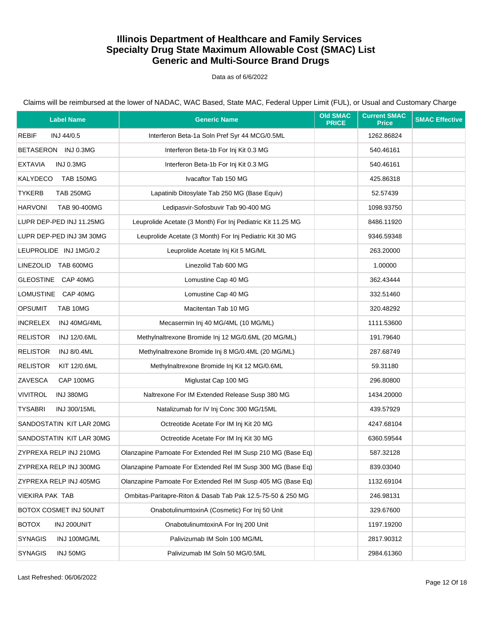### Data as of 6/6/2022

| <b>Label Name</b>                      | <b>Generic Name</b>                                          | <b>Old SMAC</b><br><b>PRICE</b> | <b>Current SMAC</b><br><b>Price</b> | <b>SMAC Effective</b> |
|----------------------------------------|--------------------------------------------------------------|---------------------------------|-------------------------------------|-----------------------|
| REBIF<br>INJ 44/0.5                    | Interferon Beta-1a Soln Pref Syr 44 MCG/0.5ML                |                                 | 1262.86824                          |                       |
| BETASERON INJ 0.3MG                    | Interferon Beta-1b For Inj Kit 0.3 MG                        |                                 | 540.46161                           |                       |
| <b>EXTAVIA</b><br>INJ 0.3MG            | Interferon Beta-1b For Inj Kit 0.3 MG                        |                                 | 540.46161                           |                       |
| KALYDECO<br><b>TAB 150MG</b>           | Ivacaftor Tab 150 MG                                         |                                 | 425.86318                           |                       |
| <b>TYKERB</b><br><b>TAB 250MG</b>      | Lapatinib Ditosylate Tab 250 MG (Base Equiv)                 |                                 | 52.57439                            |                       |
| <b>HARVONI</b><br>TAB 90-400MG         | Ledipasvir-Sofosbuvir Tab 90-400 MG                          |                                 | 1098.93750                          |                       |
| LUPR DEP-PED INJ 11.25MG               | Leuprolide Acetate (3 Month) For Inj Pediatric Kit 11.25 MG  |                                 | 8486.11920                          |                       |
| LUPR DEP-PED INJ 3M 30MG               | Leuprolide Acetate (3 Month) For Inj Pediatric Kit 30 MG     |                                 | 9346.59348                          |                       |
| LEUPROLIDE INJ 1MG/0.2                 | Leuprolide Acetate Inj Kit 5 MG/ML                           |                                 | 263.20000                           |                       |
| LINEZOLID TAB 600MG                    | Linezolid Tab 600 MG                                         |                                 | 1.00000                             |                       |
| GLEOSTINE CAP 40MG                     | Lomustine Cap 40 MG                                          |                                 | 362.43444                           |                       |
| LOMUSTINE CAP 40MG                     | Lomustine Cap 40 MG                                          |                                 | 332.51460                           |                       |
| <b>OPSUMIT</b><br>TAB 10MG             | Macitentan Tab 10 MG                                         |                                 | 320.48292                           |                       |
| <b>INCRELEX</b><br>INJ 40MG/4ML        | Mecasermin Inj 40 MG/4ML (10 MG/ML)                          |                                 | 1111.53600                          |                       |
| <b>RELISTOR</b><br><b>INJ 12/0.6ML</b> | Methylnaltrexone Bromide Inj 12 MG/0.6ML (20 MG/ML)          |                                 | 191.79640                           |                       |
| <b>RELISTOR</b><br><b>INJ 8/0.4ML</b>  | Methylnaltrexone Bromide Inj 8 MG/0.4ML (20 MG/ML)           |                                 | 287.68749                           |                       |
| <b>RELISTOR</b><br>KIT 12/0.6ML        | Methylnaltrexone Bromide Inj Kit 12 MG/0.6ML                 |                                 | 59.31180                            |                       |
| ZAVESCA<br>CAP 100MG                   | Miglustat Cap 100 MG                                         |                                 | 296.80800                           |                       |
| <b>VIVITROL</b><br>INJ 380MG           | Naltrexone For IM Extended Release Susp 380 MG               |                                 | 1434.20000                          |                       |
| <b>TYSABRI</b><br>INJ 300/15ML         | Natalizumab for IV Inj Conc 300 MG/15ML                      |                                 | 439.57929                           |                       |
| SANDOSTATIN KIT LAR 20MG               | Octreotide Acetate For IM Inj Kit 20 MG                      |                                 | 4247.68104                          |                       |
| SANDOSTATIN KIT LAR 30MG               | Octreotide Acetate For IM Inj Kit 30 MG                      |                                 | 6360.59544                          |                       |
| ZYPREXA RELP INJ 210MG                 | Olanzapine Pamoate For Extended Rel IM Susp 210 MG (Base Eq) |                                 | 587.32128                           |                       |
| ZYPREXA RELP INJ 300MG                 | Olanzapine Pamoate For Extended Rel IM Susp 300 MG (Base Eq) |                                 | 839.03040                           |                       |
| ZYPREXA RELP INJ 405MG                 | Olanzapine Pamoate For Extended Rel IM Susp 405 MG (Base Eq) |                                 | 1132.69104                          |                       |
| <b>VIEKIRA PAK TAB</b>                 | Ombitas-Paritapre-Riton & Dasab Tab Pak 12.5-75-50 & 250 MG  |                                 | 246.98131                           |                       |
| BOTOX COSMET INJ 50UNIT                | OnabotulinumtoxinA (Cosmetic) For Inj 50 Unit                |                                 | 329.67600                           |                       |
| <b>BOTOX</b><br>INJ 200UNIT            | OnabotulinumtoxinA For Inj 200 Unit                          |                                 | 1197.19200                          |                       |
| <b>SYNAGIS</b><br>INJ 100MG/ML         | Palivizumab IM Soln 100 MG/ML                                |                                 | 2817.90312                          |                       |
| <b>SYNAGIS</b><br>INJ 50MG             | Palivizumab IM Soln 50 MG/0.5ML                              |                                 | 2984.61360                          |                       |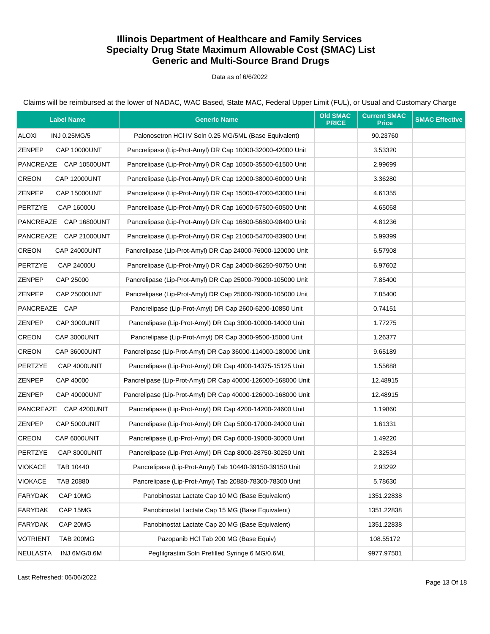#### Data as of 6/6/2022

|                 | <b>Label Name</b>      | <b>Generic Name</b>                                          | <b>Old SMAC</b><br><b>PRICE</b> | <b>Current SMAC</b><br><b>Price</b> | <b>SMAC Effective</b> |
|-----------------|------------------------|--------------------------------------------------------------|---------------------------------|-------------------------------------|-----------------------|
| <b>ALOXI</b>    | INJ 0.25MG/5           | Palonosetron HCI IV Soln 0.25 MG/5ML (Base Equivalent)       |                                 | 90.23760                            |                       |
| <b>ZENPEP</b>   | <b>CAP 10000UNT</b>    | Pancrelipase (Lip-Prot-Amyl) DR Cap 10000-32000-42000 Unit   |                                 | 3.53320                             |                       |
|                 | PANCREAZE CAP 10500UNT | Pancrelipase (Lip-Prot-Amyl) DR Cap 10500-35500-61500 Unit   |                                 | 2.99699                             |                       |
| <b>CREON</b>    | <b>CAP 12000UNT</b>    | Pancrelipase (Lip-Prot-Amyl) DR Cap 12000-38000-60000 Unit   |                                 | 3.36280                             |                       |
| ZENPEP          | <b>CAP 15000UNT</b>    | Pancrelipase (Lip-Prot-Amyl) DR Cap 15000-47000-63000 Unit   |                                 | 4.61355                             |                       |
| <b>PERTZYE</b>  | CAP 16000U             | Pancrelipase (Lip-Prot-Amyl) DR Cap 16000-57500-60500 Unit   |                                 | 4.65068                             |                       |
|                 | PANCREAZE CAP 16800UNT | Pancrelipase (Lip-Prot-Amyl) DR Cap 16800-56800-98400 Unit   |                                 | 4.81236                             |                       |
|                 | PANCREAZE CAP 21000UNT | Pancrelipase (Lip-Prot-Amyl) DR Cap 21000-54700-83900 Unit   |                                 | 5.99399                             |                       |
| <b>CREON</b>    | <b>CAP 24000UNT</b>    | Pancrelipase (Lip-Prot-Amyl) DR Cap 24000-76000-120000 Unit  |                                 | 6.57908                             |                       |
| <b>PERTZYE</b>  | CAP 24000U             | Pancrelipase (Lip-Prot-Amyl) DR Cap 24000-86250-90750 Unit   |                                 | 6.97602                             |                       |
| <b>ZENPEP</b>   | CAP 25000              | Pancrelipase (Lip-Prot-Amyl) DR Cap 25000-79000-105000 Unit  |                                 | 7.85400                             |                       |
| <b>ZENPEP</b>   | <b>CAP 25000UNT</b>    | Pancrelipase (Lip-Prot-Amyl) DR Cap 25000-79000-105000 Unit  |                                 | 7.85400                             |                       |
| PANCREAZE CAP   |                        | Pancrelipase (Lip-Prot-Amyl) DR Cap 2600-6200-10850 Unit     |                                 | 0.74151                             |                       |
| <b>ZENPEP</b>   | CAP 3000UNIT           | Pancrelipase (Lip-Prot-Amyl) DR Cap 3000-10000-14000 Unit    |                                 | 1.77275                             |                       |
| <b>CREON</b>    | CAP 3000UNIT           | Pancrelipase (Lip-Prot-Amyl) DR Cap 3000-9500-15000 Unit     |                                 | 1.26377                             |                       |
| <b>CREON</b>    | <b>CAP 36000UNT</b>    | Pancrelipase (Lip-Prot-Amyl) DR Cap 36000-114000-180000 Unit |                                 | 9.65189                             |                       |
| <b>PERTZYE</b>  | CAP 4000UNIT           | Pancrelipase (Lip-Prot-Amyl) DR Cap 4000-14375-15125 Unit    |                                 | 1.55688                             |                       |
| <b>ZENPEP</b>   | CAP 40000              | Pancrelipase (Lip-Prot-Amyl) DR Cap 40000-126000-168000 Unit |                                 | 12.48915                            |                       |
| <b>ZENPEP</b>   | <b>CAP 40000UNT</b>    | Pancrelipase (Lip-Prot-Amyl) DR Cap 40000-126000-168000 Unit |                                 | 12.48915                            |                       |
|                 | PANCREAZE CAP 4200UNIT | Pancrelipase (Lip-Prot-Amyl) DR Cap 4200-14200-24600 Unit    |                                 | 1.19860                             |                       |
| <b>ZENPEP</b>   | CAP 5000UNIT           | Pancrelipase (Lip-Prot-Amyl) DR Cap 5000-17000-24000 Unit    |                                 | 1.61331                             |                       |
| <b>CREON</b>    | CAP 6000UNIT           | Pancrelipase (Lip-Prot-Amyl) DR Cap 6000-19000-30000 Unit    |                                 | 1.49220                             |                       |
| <b>PERTZYE</b>  | CAP 8000UNIT           | Pancrelipase (Lip-Prot-Amyl) DR Cap 8000-28750-30250 Unit    |                                 | 2.32534                             |                       |
| <b>VIOKACE</b>  | TAB 10440              | Pancrelipase (Lip-Prot-Amyl) Tab 10440-39150-39150 Unit      |                                 | 2.93292                             |                       |
| <b>VIOKACE</b>  | TAB 20880              | Pancrelipase (Lip-Prot-Amyl) Tab 20880-78300-78300 Unit      |                                 | 5.78630                             |                       |
| <b>FARYDAK</b>  | CAP 10MG               | Panobinostat Lactate Cap 10 MG (Base Equivalent)             |                                 | 1351.22838                          |                       |
| <b>FARYDAK</b>  | CAP 15MG               | Panobinostat Lactate Cap 15 MG (Base Equivalent)             |                                 | 1351.22838                          |                       |
| <b>FARYDAK</b>  | CAP 20MG               | Panobinostat Lactate Cap 20 MG (Base Equivalent)             |                                 | 1351.22838                          |                       |
| <b>VOTRIENT</b> | <b>TAB 200MG</b>       | Pazopanib HCl Tab 200 MG (Base Equiv)                        |                                 | 108.55172                           |                       |
| <b>NEULASTA</b> | INJ 6MG/0.6M           | Pegfilgrastim Soln Prefilled Syringe 6 MG/0.6ML              |                                 | 9977.97501                          |                       |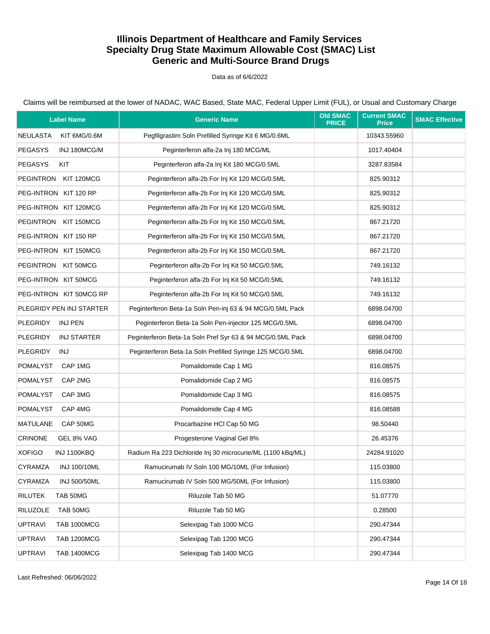### Data as of 6/6/2022

| <b>Label Name</b>                     | <b>Generic Name</b>                                         | <b>Old SMAC</b><br><b>PRICE</b> | <b>Current SMAC</b><br><b>Price</b> | <b>SMAC Effective</b> |
|---------------------------------------|-------------------------------------------------------------|---------------------------------|-------------------------------------|-----------------------|
| <b>NEULASTA</b><br>KIT 6MG/0.6M       | Pegfilgrastim Soln Prefilled Syringe Kit 6 MG/0.6ML         |                                 | 10343.55960                         |                       |
| <b>PEGASYS</b><br>INJ 180MCG/M        | Peginterferon alfa-2a Inj 180 MCG/ML                        |                                 | 1017.40404                          |                       |
| <b>PEGASYS</b><br>KIT                 | Peginterferon alfa-2a Inj Kit 180 MCG/0.5ML                 |                                 | 3287.83584                          |                       |
| PEGINTRON KIT 120MCG                  | Peginterferon alfa-2b For Inj Kit 120 MCG/0.5ML             |                                 | 825.90312                           |                       |
| PEG-INTRON KIT 120 RP                 | Peginterferon alfa-2b For Inj Kit 120 MCG/0.5ML             |                                 | 825.90312                           |                       |
| PEG-INTRON KIT 120MCG                 | Peginterferon alfa-2b For Inj Kit 120 MCG/0.5ML             |                                 | 825.90312                           |                       |
| PEGINTRON KIT 150MCG                  | Peginterferon alfa-2b For Inj Kit 150 MCG/0.5ML             |                                 | 867.21720                           |                       |
| PEG-INTRON KIT 150 RP                 | Peginterferon alfa-2b For Inj Kit 150 MCG/0.5ML             |                                 | 867.21720                           |                       |
| PEG-INTRON KIT 150MCG                 | Peginterferon alfa-2b For Inj Kit 150 MCG/0.5ML             |                                 | 867.21720                           |                       |
| PEGINTRON KIT 50MCG                   | Peginterferon alfa-2b For Inj Kit 50 MCG/0.5ML              |                                 | 749.16132                           |                       |
| PEG-INTRON KIT 50MCG                  | Peginterferon alfa-2b For Inj Kit 50 MCG/0.5ML              |                                 | 749.16132                           |                       |
| PEG-INTRON KIT 50MCG RP               | Peginterferon alfa-2b For Inj Kit 50 MCG/0.5ML              |                                 | 749.16132                           |                       |
| PLEGRIDY PEN INJ STARTER              | Peginterferon Beta-1a Soln Pen-inj 63 & 94 MCG/0.5ML Pack   |                                 | 6898.04700                          |                       |
| <b>PLEGRIDY</b><br>INJ PEN            | Peginterferon Beta-1a Soln Pen-injector 125 MCG/0.5ML       |                                 | 6898.04700                          |                       |
| <b>PLEGRIDY</b><br><b>INJ STARTER</b> | Peginterferon Beta-1a Soln Pref Syr 63 & 94 MCG/0.5ML Pack  |                                 | 6898.04700                          |                       |
| <b>PLEGRIDY</b><br>INJ                | Peginterferon Beta-1a Soln Prefilled Syringe 125 MCG/0.5ML  |                                 | 6898.04700                          |                       |
| POMALYST<br>CAP 1MG                   | Pomalidomide Cap 1 MG                                       |                                 | 816.08575                           |                       |
| <b>POMALYST</b><br>CAP 2MG            | Pomalidomide Cap 2 MG                                       |                                 | 816.08575                           |                       |
| <b>POMALYST</b><br>CAP 3MG            | Pomalidomide Cap 3 MG                                       |                                 | 816.08575                           |                       |
| <b>POMALYST</b><br>CAP 4MG            | Pomalidomide Cap 4 MG                                       |                                 | 816.08588                           |                       |
| <b>MATULANE</b><br>CAP 50MG           | Procarbazine HCl Cap 50 MG                                  |                                 | 98.50440                            |                       |
| <b>CRINONE</b><br>GEL 8% VAG          | Progesterone Vaginal Gel 8%                                 |                                 | 26.45376                            |                       |
| <b>XOFIGO</b><br>INJ 1100KBQ          | Radium Ra 223 Dichloride Inj 30 microcurie/ML (1100 kBq/ML) |                                 | 24284.91020                         |                       |
| CYRAMZA<br>INJ 100/10ML               | Ramucirumab IV Soln 100 MG/10ML (For Infusion)              |                                 | 115.03800                           |                       |
| CYRAMZA<br><b>INJ 500/50ML</b>        | Ramucirumab IV Soln 500 MG/50ML (For Infusion)              |                                 | 115.03800                           |                       |
| <b>RILUTEK</b><br>TAB 50MG            | Riluzole Tab 50 MG                                          |                                 | 51.07770                            |                       |
| <b>RILUZOLE</b><br>TAB 50MG           | Riluzole Tab 50 MG                                          |                                 | 0.28500                             |                       |
| <b>UPTRAVI</b><br><b>TAB 1000MCG</b>  | Selexipag Tab 1000 MCG                                      |                                 | 290.47344                           |                       |
| <b>UPTRAVI</b><br><b>TAB 1200MCG</b>  | Selexipag Tab 1200 MCG                                      |                                 | 290.47344                           |                       |
| <b>UPTRAVI</b><br><b>TAB 1400MCG</b>  | Selexipag Tab 1400 MCG                                      |                                 | 290.47344                           |                       |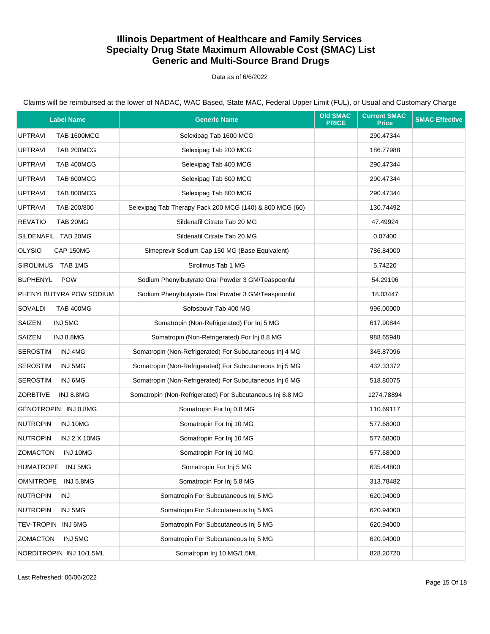Data as of 6/6/2022

Claims will be reimbursed at the lower of NADAC, WAC Based, State MAC, Federal Upper Limit (FUL), or Usual and Customary Charge

| <b>Label Name</b>                      | <b>Generic Name</b>                                       | <b>Old SMAC</b><br><b>PRICE</b> | <b>Current SMAC</b><br><b>Price</b> | <b>SMAC Effective</b> |
|----------------------------------------|-----------------------------------------------------------|---------------------------------|-------------------------------------|-----------------------|
| <b>UPTRAVI</b><br><b>TAB 1600MCG</b>   | Selexipag Tab 1600 MCG                                    |                                 | 290.47344                           |                       |
| <b>UPTRAVI</b><br>TAB 200MCG           | Selexipag Tab 200 MCG                                     |                                 | 186.77988                           |                       |
| <b>UPTRAVI</b><br>TAB 400MCG           | Selexipag Tab 400 MCG                                     |                                 | 290.47344                           |                       |
| TAB 600MCG<br><b>UPTRAVI</b>           | Selexipag Tab 600 MCG                                     |                                 | 290.47344                           |                       |
| <b>UPTRAVI</b><br>TAB 800MCG           | Selexipag Tab 800 MCG                                     |                                 | 290.47344                           |                       |
| <b>UPTRAVI</b><br>TAB 200/800          | Selexipag Tab Therapy Pack 200 MCG (140) & 800 MCG (60)   |                                 | 130.74492                           |                       |
| <b>REVATIO</b><br>TAB 20MG             | Sildenafil Citrate Tab 20 MG                              |                                 | 47.49924                            |                       |
| SILDENAFIL TAB 20MG                    | Sildenafil Citrate Tab 20 MG                              |                                 | 0.07400                             |                       |
| <b>OLYSIO</b><br>CAP 150MG             | Simeprevir Sodium Cap 150 MG (Base Equivalent)            |                                 | 786.84000                           |                       |
| SIROLIMUS TAB 1MG                      | Sirolimus Tab 1 MG                                        |                                 | 5.74220                             |                       |
| <b>BUPHENYL</b><br><b>POW</b>          | Sodium Phenylbutyrate Oral Powder 3 GM/Teaspoonful        |                                 | 54.29196                            |                       |
| PHENYLBUTYRA POW SODIUM                | Sodium Phenylbutyrate Oral Powder 3 GM/Teaspoonful        |                                 | 18.03447                            |                       |
| SOVALDI<br><b>TAB 400MG</b>            | Sofosbuvir Tab 400 MG                                     |                                 | 996.00000                           |                       |
| SAIZEN<br>INJ 5MG                      | Somatropin (Non-Refrigerated) For Inj 5 MG                |                                 | 617.90844                           |                       |
| SAIZEN<br>INJ 8.8MG                    | Somatropin (Non-Refrigerated) For Inj 8.8 MG              |                                 | 988.65948                           |                       |
| <b>SEROSTIM</b><br>INJ 4MG             | Somatropin (Non-Refrigerated) For Subcutaneous Inj 4 MG   |                                 | 345.87096                           |                       |
| <b>SEROSTIM</b><br>INJ 5MG             | Somatropin (Non-Refrigerated) For Subcutaneous Inj 5 MG   |                                 | 432.33372                           |                       |
| <b>SEROSTIM</b><br>INJ 6MG             | Somatropin (Non-Refrigerated) For Subcutaneous Inj 6 MG   |                                 | 518.80075                           |                       |
| <b>ZORBTIVE</b><br>INJ 8.8MG           | Somatropin (Non-Refrigerated) For Subcutaneous Inj 8.8 MG |                                 | 1274.78894                          |                       |
| GENOTROPIN INJ 0.8MG                   | Somatropin For Inj 0.8 MG                                 |                                 | 110.69117                           |                       |
| <b>NUTROPIN</b><br>INJ 10MG            | Somatropin For Inj 10 MG                                  |                                 | 577.68000                           |                       |
| <b>NUTROPIN</b><br><b>INJ 2 X 10MG</b> | Somatropin For Inj 10 MG                                  |                                 | 577.68000                           |                       |
| <b>ZOMACTON</b><br>INJ 10MG            | Somatropin For Inj 10 MG                                  |                                 | 577.68000                           |                       |
| HUMATROPE INJ 5MG                      | Somatropin For Inj 5 MG                                   |                                 | 635.44800                           |                       |
| <b>OMNITROPE</b><br>INJ 5.8MG          | Somatropin For Inj 5.8 MG                                 |                                 | 313.78482                           |                       |
| <b>NUTROPIN</b><br>INJ                 | Somatropin For Subcutaneous Inj 5 MG                      |                                 | 620.94000                           |                       |
| <b>NUTROPIN</b><br>INJ 5MG             | Somatropin For Subcutaneous Inj 5 MG                      |                                 | 620.94000                           |                       |
| TEV-TROPIN INJ 5MG                     | Somatropin For Subcutaneous Inj 5 MG                      |                                 | 620.94000                           |                       |
| <b>ZOMACTON</b><br>INJ 5MG             | Somatropin For Subcutaneous Inj 5 MG                      |                                 | 620.94000                           |                       |
| NORDITROPIN INJ 10/1.5ML               | Somatropin Inj 10 MG/1.5ML                                |                                 | 828.20720                           |                       |

Last Refreshed: 06/06/2022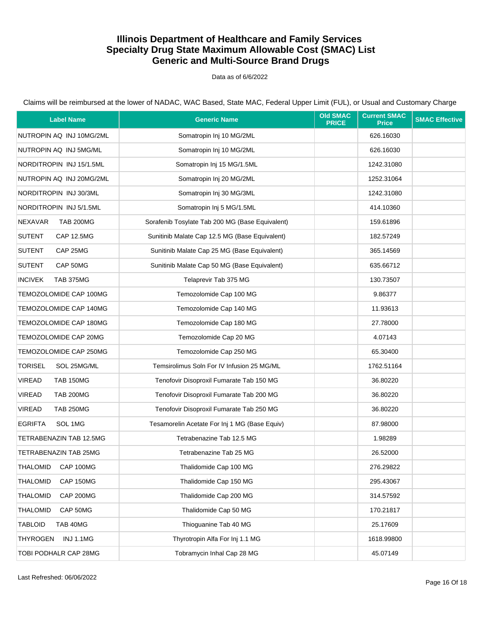Data as of 6/6/2022

| <b>Label Name</b>                   | <b>Generic Name</b>                             | <b>Old SMAC</b><br><b>PRICE</b> | <b>Current SMAC</b><br><b>Price</b> | <b>SMAC Effective</b> |
|-------------------------------------|-------------------------------------------------|---------------------------------|-------------------------------------|-----------------------|
| NUTROPIN AQ INJ 10MG/2ML            | Somatropin Inj 10 MG/2ML                        |                                 | 626.16030                           |                       |
| NUTROPIN AQ INJ 5MG/ML              | Somatropin Inj 10 MG/2ML                        |                                 | 626.16030                           |                       |
| NORDITROPIN INJ 15/1.5ML            | Somatropin Inj 15 MG/1.5ML                      |                                 | 1242.31080                          |                       |
| NUTROPIN AQ INJ 20MG/2ML            | Somatropin Inj 20 MG/2ML                        |                                 | 1252.31064                          |                       |
| NORDITROPIN INJ 30/3ML              | Somatropin Inj 30 MG/3ML                        |                                 | 1242.31080                          |                       |
| NORDITROPIN INJ 5/1.5ML             | Somatropin Inj 5 MG/1.5ML                       |                                 | 414.10360                           |                       |
| <b>NEXAVAR</b><br><b>TAB 200MG</b>  | Sorafenib Tosylate Tab 200 MG (Base Equivalent) |                                 | 159.61896                           |                       |
| <b>SUTENT</b><br><b>CAP 12.5MG</b>  | Sunitinib Malate Cap 12.5 MG (Base Equivalent)  |                                 | 182.57249                           |                       |
| <b>SUTENT</b><br>CAP 25MG           | Sunitinib Malate Cap 25 MG (Base Equivalent)    |                                 | 365.14569                           |                       |
| <b>SUTENT</b><br>CAP 50MG           | Sunitinib Malate Cap 50 MG (Base Equivalent)    |                                 | 635.66712                           |                       |
| <b>INCIVEK</b><br><b>TAB 375MG</b>  | Telaprevir Tab 375 MG                           |                                 | 130.73507                           |                       |
| TEMOZOLOMIDE CAP 100MG              | Temozolomide Cap 100 MG                         |                                 | 9.86377                             |                       |
| TEMOZOLOMIDE CAP 140MG              | Temozolomide Cap 140 MG                         |                                 | 11.93613                            |                       |
| TEMOZOLOMIDE CAP 180MG              | Temozolomide Cap 180 MG                         |                                 | 27.78000                            |                       |
| TEMOZOLOMIDE CAP 20MG               | Temozolomide Cap 20 MG                          |                                 | 4.07143                             |                       |
| TEMOZOLOMIDE CAP 250MG              | Temozolomide Cap 250 MG                         |                                 | 65.30400                            |                       |
| <b>TORISEL</b><br>SOL 25MG/ML       | Temsirolimus Soln For IV Infusion 25 MG/ML      |                                 | 1762.51164                          |                       |
| <b>VIREAD</b><br><b>TAB 150MG</b>   | Tenofovir Disoproxil Fumarate Tab 150 MG        |                                 | 36.80220                            |                       |
| <b>VIREAD</b><br><b>TAB 200MG</b>   | Tenofovir Disoproxil Fumarate Tab 200 MG        |                                 | 36.80220                            |                       |
| <b>VIREAD</b><br><b>TAB 250MG</b>   | Tenofovir Disoproxil Fumarate Tab 250 MG        |                                 | 36.80220                            |                       |
| <b>EGRIFTA</b><br>SOL 1MG           | Tesamorelin Acetate For Inj 1 MG (Base Equiv)   |                                 | 87.98000                            |                       |
| TETRABENAZIN TAB 12.5MG             | Tetrabenazine Tab 12.5 MG                       |                                 | 1.98289                             |                       |
| TETRABENAZIN TAB 25MG               | Tetrabenazine Tab 25 MG                         |                                 | 26.52000                            |                       |
| THALOMID<br><b>CAP 100MG</b>        | Thalidomide Cap 100 MG                          |                                 | 276.29822                           |                       |
| <b>THALOMID</b><br>CAP 150MG        | Thalidomide Cap 150 MG                          |                                 | 295.43067                           |                       |
| <b>THALOMID</b><br><b>CAP 200MG</b> | Thalidomide Cap 200 MG                          |                                 | 314.57592                           |                       |
| <b>THALOMID</b><br>CAP 50MG         | Thalidomide Cap 50 MG                           |                                 | 170.21817                           |                       |
| <b>TABLOID</b><br>TAB 40MG          | Thioguanine Tab 40 MG                           |                                 | 25.17609                            |                       |
| <b>THYROGEN</b><br><b>INJ 1.1MG</b> | Thyrotropin Alfa For Inj 1.1 MG                 |                                 | 1618.99800                          |                       |
| TOBI PODHALR CAP 28MG               | Tobramycin Inhal Cap 28 MG                      |                                 | 45.07149                            |                       |